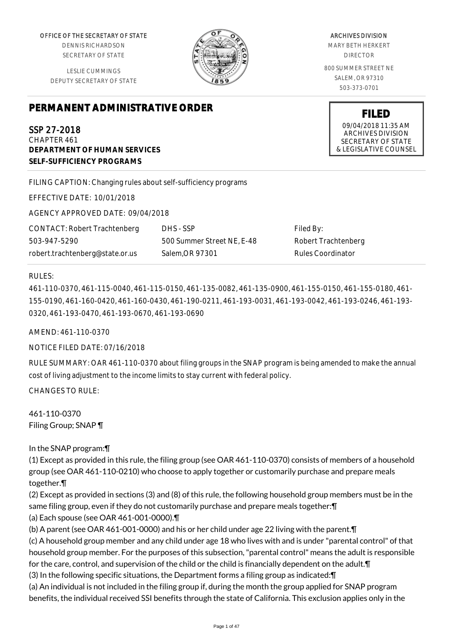OFFICE OF THE SECRETARY OF STATE

DENNIS RICHARDSON SECRETARY OF STATE

LESLIE CUMMINGS DEPUTY SECRETARY OF STATE

# **PERMANENT ADMINISTRATIVE ORDER**

SSP 27-2018 CHAPTER 461 **DEPARTMENT OF HUMAN SERVICES SELF-SUFFICIENCY PROGRAMS**

FILING CAPTION: Changing rules about self-sufficiency programs

EFFECTIVE DATE: 10/01/2018

AGENCY APPROVED DATE: 09/04/2018

CONTACT: Robert Trachtenberg 503-947-5290 robert.trachtenberg@state.or.us

DHS - SSP 500 Summer Street NE, E-48 Salem,OR 97301

Filed By: Robert Trachtenberg Rules Coordinator

### RULES:

461-110-0370, 461-115-0040, 461-115-0150, 461-135-0082, 461-135-0900, 461-155-0150, 461-155-0180, 461- 155-0190, 461-160-0420, 461-160-0430, 461-190-0211, 461-193-0031, 461-193-0042, 461-193-0246, 461-193- 0320, 461-193-0470, 461-193-0670, 461-193-0690

AMEND: 461-110-0370

NOTICE FILED DATE: 07/16/2018

RULE SUMMARY: OAR 461-110-0370 about filing groups in the SNAP program is being amended to make the annual cost of living adjustment to the income limits to stay current with federal policy.

CHANGES TO RULE:

461-110-0370 Filing Group; SNAP ¶

In the SNAP program:¶

(1) Except as provided in this rule, the filing group (see OAR 461-110-0370) consists of members of a household group (see OAR 461-110-0210) who choose to apply together or customarily purchase and prepare meals together.¶

(2) Except as provided in sections (3) and (8) of this rule, the following household group members must be in the same filing group, even if they do not customarily purchase and prepare meals together:¶

(a) Each spouse (see OAR 461-001-0000).¶

(b) A parent (see OAR 461-001-0000) and his or her child under age 22 living with the parent.¶

(c) A household group member and any child under age 18 who lives with and is under "parental control" of that household group member. For the purposes of this subsection, "parental control" means the adult is responsible for the care, control, and supervision of the child or the child is financially dependent on the adult.¶

(3) In the following specific situations, the Department forms a filing group as indicated:¶

(a) An individual is not included in the filing group if, during the month the group applied for SNAP program benefits, the individual received SSI benefits through the state of California. This exclusion applies only in the

ARCHIVES DIVISION

MARY BETH HERKERT DIRECTOR

800 SUMMER STREET NE SALEM, OR 97310 503-373-0701

> **FILED** 09/04/2018 11:35 AM ARCHIVES DIVISION SECRETARY OF STATE & LEGISLATIVE COUNSEL

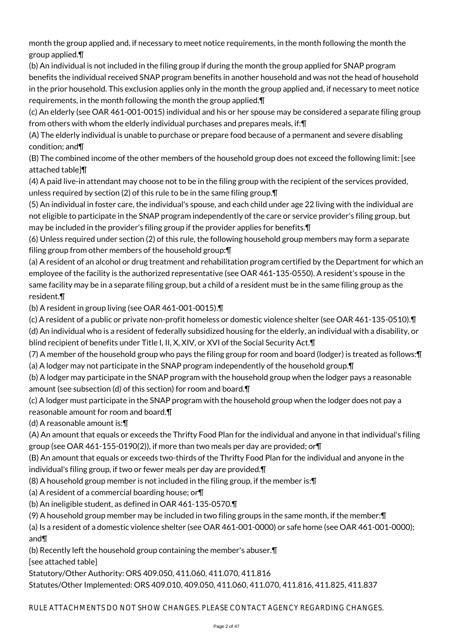month the group applied and, if necessary to meet notice requirements, in the month following the month the group applied.¶

(b) An individual is not included in the filing group if during the month the group applied for SNAP program benefits the individual received SNAP program benefits in another household and was not the head of household in the prior household. This exclusion applies only in the month the group applied and, if necessary to meet notice requirements, in the month following the month the group applied.¶

(c) An elderly (see OAR 461-001-0015) individual and his or her spouse may be considered a separate filing group from others with whom the elderly individual purchases and prepares meals, if:¶

(A) The elderly individual is unable to purchase or prepare food because of a permanent and severe disabling condition; and¶

(B) The combined income of the other members of the household group does not exceed the following limit: [see attached table]¶

(4) A paid live-in attendant may choose not to be in the filing group with the recipient of the services provided, unless required by section (2) of this rule to be in the same filing group.¶

(5) An individual in foster care, the individual's spouse, and each child under age 22 living with the individual are not eligible to participate in the SNAP program independently of the care or service provider's filing group, but may be included in the provider's filing group if the provider applies for benefits.¶

(6) Unless required under section (2) of this rule, the following household group members may form a separate filing group from other members of the household group:¶

(a) A resident of an alcohol or drug treatment and rehabilitation program certified by the Department for which an employee of the facility is the authorized representative (see OAR 461-135-0550). A resident's spouse in the same facility may be in a separate filing group, but a child of a resident must be in the same filing group as the resident.¶

(b) A resident in group living (see OAR 461-001-0015).¶

(c) A resident of a public or private non-profit homeless or domestic violence shelter (see OAR 461-135-0510).¶

(d) An individual who is a resident of federally subsidized housing for the elderly, an individual with a disability, or blind recipient of benefits under Title I, II, X, XIV, or XVI of the Social Security Act. T

(7) A member of the household group who pays the filing group for room and board (lodger) is treated as follows:¶ (a) A lodger may not participate in the SNAP program independently of the household group.¶

(b) A lodger may participate in the SNAP program with the household group when the lodger pays a reasonable amount (see subsection (d) of this section) for room and board.¶

(c) A lodger must participate in the SNAP program with the household group when the lodger does not pay a reasonable amount for room and board.¶

(d) A reasonable amount is:¶

(A) An amount that equals or exceeds the Thrifty Food Plan for the individual and anyone in that individual's filing group (see OAR 461-155-0190(2)), if more than two meals per day are provided; or¶

(B) An amount that equals or exceeds two-thirds of the Thrifty Food Plan for the individual and anyone in the individual's filing group, if two or fewer meals per day are provided.¶

(8) A household group member is not included in the filing group, if the member is:¶

(a) A resident of a commercial boarding house; or¶

(b) An ineligible student, as defined in OAR 461-135-0570.¶

(9) A household group member may be included in two filing groups in the same month, if the member:¶

(a) Is a resident of a domestic violence shelter (see OAR 461-001-0000) or safe home (see OAR 461-001-0000); and¶

(b) Recently left the household group containing the member's abuser.¶

[see attached table]

Statutory/Other Authority: ORS 409.050, 411.060, 411.070, 411.816

Statutes/Other Implemented: ORS 409.010, 409.050, 411.060, 411.070, 411.816, 411.825, 411.837

RULE ATTACHMENTS DO NOT SHOW CHANGES. PLEASE CONTACT AGENCY REGARDING CHANGES.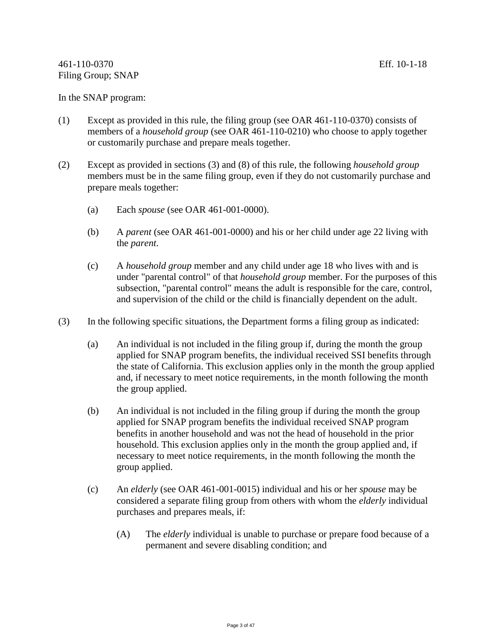#### In the SNAP program:

- (1) Except as provided in this rule, the filing group (see OAR 461-110-0370) consists of members of a *household group* (see OAR 461-110-0210) who choose to apply together or customarily purchase and prepare meals together.
- (2) Except as provided in sections (3) and (8) of this rule, the following *household group* members must be in the same filing group, even if they do not customarily purchase and prepare meals together:
	- (a) Each *spouse* (see OAR 461-001-0000).
	- (b) A *parent* (see OAR 461-001-0000) and his or her child under age 22 living with the *parent*.
	- (c) A *household group* member and any child under age 18 who lives with and is under "parental control" of that *household group* member. For the purposes of this subsection, "parental control" means the adult is responsible for the care, control, and supervision of the child or the child is financially dependent on the adult.
- (3) In the following specific situations, the Department forms a filing group as indicated:
	- (a) An individual is not included in the filing group if, during the month the group applied for SNAP program benefits, the individual received SSI benefits through the state of California. This exclusion applies only in the month the group applied and, if necessary to meet notice requirements, in the month following the month the group applied.
	- (b) An individual is not included in the filing group if during the month the group applied for SNAP program benefits the individual received SNAP program benefits in another household and was not the head of household in the prior household. This exclusion applies only in the month the group applied and, if necessary to meet notice requirements, in the month following the month the group applied.
	- (c) An *elderly* (see OAR 461-001-0015) individual and his or her *spouse* may be considered a separate filing group from others with whom the *elderly* individual purchases and prepares meals, if:
		- (A) The *elderly* individual is unable to purchase or prepare food because of a permanent and severe disabling condition; and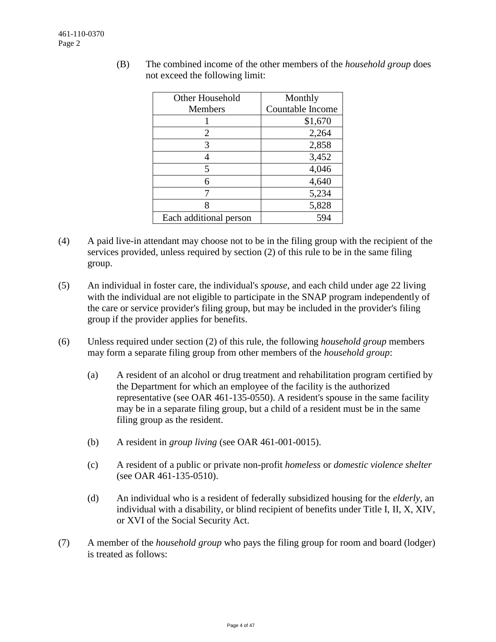| Other Household        | Monthly          |
|------------------------|------------------|
| <b>Members</b>         | Countable Income |
|                        | \$1,670          |
| 2                      | 2,264            |
| 3                      | 2,858            |
|                        | 3,452            |
| 5                      | 4,046            |
| 6                      | 4,640            |
|                        | 5,234            |
| 8                      | 5,828            |
| Each additional person |                  |

(B) The combined income of the other members of the *household group* does not exceed the following limit:

- (4) A paid live-in attendant may choose not to be in the filing group with the recipient of the services provided, unless required by section (2) of this rule to be in the same filing group.
- (5) An individual in foster care, the individual's *spouse*, and each child under age 22 living with the individual are not eligible to participate in the SNAP program independently of the care or service provider's filing group, but may be included in the provider's filing group if the provider applies for benefits.
- (6) Unless required under section (2) of this rule, the following *household group* members may form a separate filing group from other members of the *household group*:
	- (a) A resident of an alcohol or drug treatment and rehabilitation program certified by the Department for which an employee of the facility is the authorized representative (see OAR 461-135-0550). A resident's spouse in the same facility may be in a separate filing group, but a child of a resident must be in the same filing group as the resident.
	- (b) A resident in *group living* (see OAR 461-001-0015).
	- (c) A resident of a public or private non-profit *homeless* or *domestic violence shelter* (see OAR 461-135-0510).
	- (d) An individual who is a resident of federally subsidized housing for the *elderly*, an individual with a disability, or blind recipient of benefits under Title I, II, X, XIV, or XVI of the Social Security Act.
- (7) A member of the *household group* who pays the filing group for room and board (lodger) is treated as follows: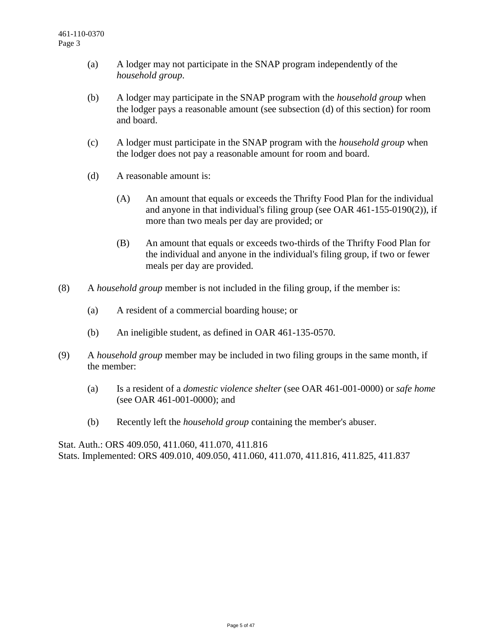- (a) A lodger may not participate in the SNAP program independently of the *household group*.
- (b) A lodger may participate in the SNAP program with the *household group* when the lodger pays a reasonable amount (see subsection (d) of this section) for room and board.
- (c) A lodger must participate in the SNAP program with the *household group* when the lodger does not pay a reasonable amount for room and board.
- (d) A reasonable amount is:
	- (A) An amount that equals or exceeds the Thrifty Food Plan for the individual and anyone in that individual's filing group (see OAR 461-155-0190(2)), if more than two meals per day are provided; or
	- (B) An amount that equals or exceeds two-thirds of the Thrifty Food Plan for the individual and anyone in the individual's filing group, if two or fewer meals per day are provided.
- (8) A *household group* member is not included in the filing group, if the member is:
	- (a) A resident of a commercial boarding house; or
	- (b) An ineligible student, as defined in OAR 461-135-0570.
- (9) A *household group* member may be included in two filing groups in the same month, if the member:
	- (a) Is a resident of a *domestic violence shelter* (see OAR 461-001-0000) or *safe home*  (see OAR 461-001-0000); and
	- (b) Recently left the *household group* containing the member's abuser.

Stat. Auth.: ORS 409.050, 411.060, 411.070, 411.816 Stats. Implemented: ORS 409.010, 409.050, 411.060, 411.070, 411.816, 411.825, 411.837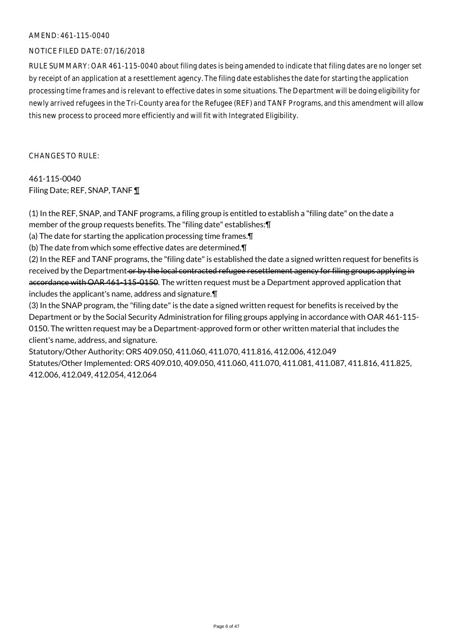#### AMEND: 461-115-0040

### NOTICE FILED DATE: 07/16/2018

RULE SUMMARY: OAR 461-115-0040 about filing dates is being amended to indicate that filing dates are no longer set by receipt of an application at a resettlement agency. The filing date establishes the date for starting the application processing time frames and is relevant to effective dates in some situations. The Department will be doing eligibility for newly arrived refugees in the Tri-County area for the Refugee (REF) and TANF Programs, and this amendment will allow this new process to proceed more efficiently and will fit with Integrated Eligibility.

CHANGES TO RULE:

461-115-0040 Filing Date; REF, SNAP, TANF ¶

(1) In the REF, SNAP, and TANF programs, a filing group is entitled to establish a "filing date" on the date a member of the group requests benefits. The "filing date" establishes:¶

(a) The date for starting the application processing time frames.¶

(b) The date from which some effective dates are determined.¶

(2) In the REF and TANF programs, the "filing date" is established the date a signed written request for benefits is received by the Department or by the local contracted refugee resettlement agency for filing groups applying in accordance with OAR 461-115-0150. The written request must be a Department approved application that includes the applicant's name, address and signature.¶

(3) In the SNAP program, the "filing date" is the date a signed written request for benefits is received by the Department or by the Social Security Administration for filing groups applying in accordance with OAR 461-115- 0150. The written request may be a Department-approved form or other written material that includes the client's name, address, and signature.

Statutory/Other Authority: ORS 409.050, 411.060, 411.070, 411.816, 412.006, 412.049 Statutes/Other Implemented: ORS 409.010, 409.050, 411.060, 411.070, 411.081, 411.087, 411.816, 411.825, 412.006, 412.049, 412.054, 412.064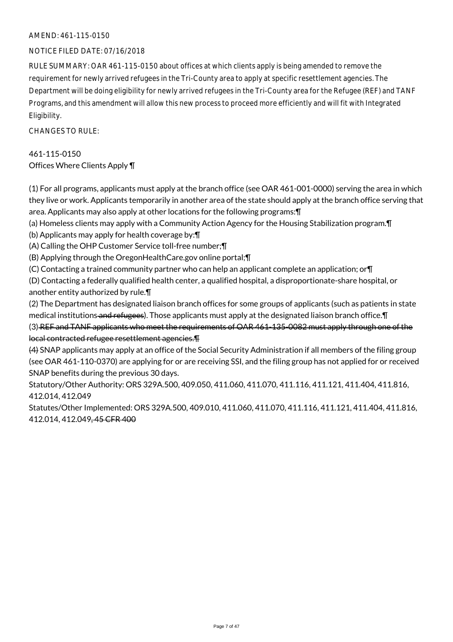## AMEND: 461-115-0150

### NOTICE FILED DATE: 07/16/2018

RULE SUMMARY: OAR 461-115-0150 about offices at which clients apply is being amended to remove the requirement for newly arrived refugees in the Tri-County area to apply at specific resettlement agencies. The Department will be doing eligibility for newly arrived refugees in the Tri-County area for the Refugee (REF) and TANF Programs, and this amendment will allow this new process to proceed more efficiently and will fit with Integrated Eligibility.

 $CHANGESTORUIF$ 

## 461-115-0150 Offices Where Clients Apply ¶

(1) For all programs, applicants must apply at the branch office (see OAR 461-001-0000) serving the area in which they live or work. Applicants temporarily in another area of the state should apply at the branch office serving that area. Applicants may also apply at other locations for the following programs:¶

(a) Homeless clients may apply with a Community Action Agency for the Housing Stabilization program.¶

(b) Applicants may apply for health coverage by:¶

(A) Calling the OHP Customer Service toll-free number;¶

(B) Applying through the OregonHealthCare.gov online portal;¶

(C) Contacting a trained community partner who can help an applicant complete an application; or¶

(D) Contacting a federally qualified health center, a qualified hospital, a disproportionate-share hospital, or another entity authorized by rule.¶

(2) The Department has designated liaison branch offices for some groups of applicants (such as patients in state medical institutions and refugees). Those applicants must apply at the designated liaison branch office.¶

(3) REF and TANF applicants who meet the requirements of OAR 461-135-0082 must apply through one of the local contracted refugee resettlement agencies.¶

(4) SNAP applicants may apply at an office of the Social Security Administration if all members of the filing group (see OAR 461-110-0370) are applying for or are receiving SSI, and the filing group has not applied for or received SNAP benefits during the previous 30 days.

Statutory/Other Authority: ORS 329A.500, 409.050, 411.060, 411.070, 411.116, 411.121, 411.404, 411.816, 412.014, 412.049

Statutes/Other Implemented: ORS 329A.500, 409.010, 411.060, 411.070, 411.116, 411.121, 411.404, 411.816, 412.014, 412.049, 45 CFR 400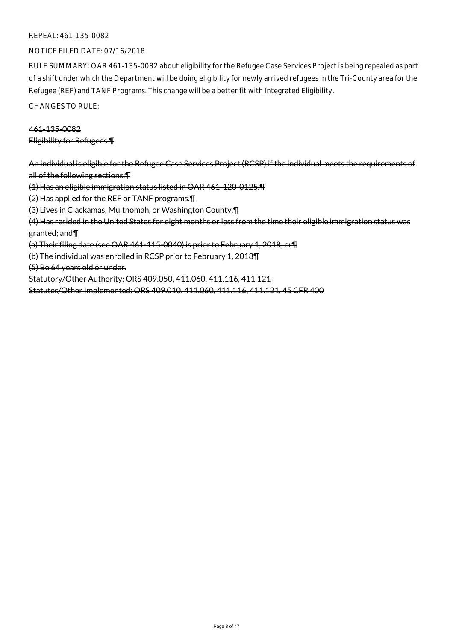### NOTICE FILED DATE: 07/16/2018

RULE SUMMARY: OAR 461-135-0082 about eligibility for the Refugee Case Services Project is being repealed as part of a shift under which the Department will be doing eligibility for newly arrived refugees in the Tri-County area for the Refugee (REF) and TANF Programs. This change will be a better fit with Integrated Eligibility.

CHANGES TO RULE:

### 461-135-0082

Eligibility for Refugees ¶

An individual is eligible for the Refugee Case Services Project (RCSP) if the individual meets the requirements of all of the following sections:¶

(1) Has an eligible immigration status listed in OAR 461-120-0125.¶

(2) Has applied for the REF or TANF programs.¶

(3) Lives in Clackamas, Multnomah, or Washington County.¶

(4) Has resided in the United States for eight months or less from the time their eligible immigration status was

granted; and¶

(a) Their filing date (see OAR 461-115-0040) is prior to February 1, 2018; or¶

(b) The individual was enrolled in RCSP prior to February 1, 2018¶

(5) Be 64 years old or under.

Statutory/Other Authority: ORS 409.050, 411.060, 411.116, 411.121

Statutes/Other Implemented: ORS 409.010, 411.060, 411.116, 411.121, 45 CFR 400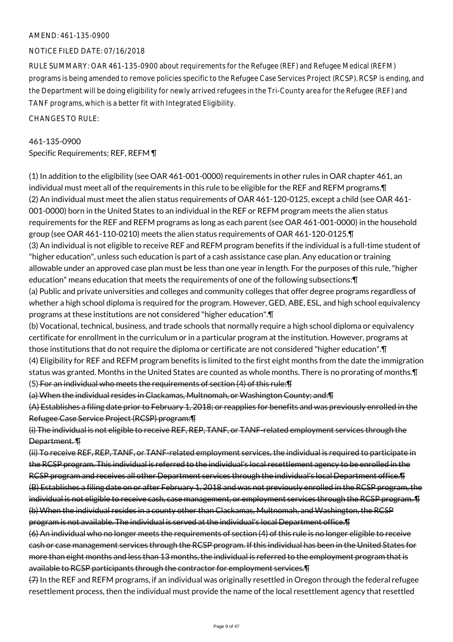#### AMEND: 461-135-0900

### NOTICE FILED DATE: 07/16/2018

RULE SUMMARY: OAR 461-135-0900 about requirements for the Refugee (REF) and Refugee Medical (REFM) programs is being amended to remove policies specific to the Refugee Case Services Project (RCSP). RCSP is ending, and the Department will be doing eligibility for newly arrived refugees in the Tri-County area for the Refugee (REF) and TANF programs, which is a better fit with Integrated Eligibility.

CHANGES TO RULE:

## 461-135-0900

Specific Requirements; REF, REFM ¶

(1) In addition to the eligibility (see OAR 461-001-0000) requirements in other rules in OAR chapter 461, an individual must meet all of the requirements in this rule to be eligible for the REF and REFM programs.¶ (2) An individual must meet the alien status requirements of OAR 461-120-0125, except a child (see OAR 461- 001-0000) born in the United States to an individual in the REF or REFM program meets the alien status requirements for the REF and REFM programs as long as each parent (see OAR 461-001-0000) in the household group (see OAR 461-110-0210) meets the alien status requirements of OAR 461-120-0125.¶ (3) An individual is not eligible to receive REF and REFM program benefits if the individual is a full-time student of "higher education", unless such education is part of a cash assistance case plan. Any education or training

allowable under an approved case plan must be less than one year in length. For the purposes of this rule, "higher education" means education that meets the requirements of one of the following subsections:¶

(a) Public and private universities and colleges and community colleges that offer degree programs regardless of whether a high school diploma is required for the program. However, GED, ABE, ESL, and high school equivalency programs at these institutions are not considered "higher education".¶

(b) Vocational, technical, business, and trade schools that normally require a high school diploma or equivalency certificate for enrollment in the curriculum or in a particular program at the institution. However, programs at those institutions that do not require the diploma or certificate are not considered "higher education".¶ (4) Eligibility for REF and REFM program benefits is limited to the first eight months from the date the immigration status was granted. Months in the United States are counted as whole months. There is no prorating of months.¶ (5) For an individual who meets the requirements of section (4) of this rule:¶

#### (a) When the individual resides in Clackamas, Multnomah, or Washington County; and:¶

(A) Establishes a filing date prior to February 1, 2018; or reapplies for benefits and was previously enrolled in the Refugee Case Service Project (RCSP) program:¶

(i) The individual is not eligible to receive REF, REP, TANF, or TANF-related employment services through the Department. ¶

(ii) To receive REF, REP, TANF, or TANF-related employment services, the individual is required to participate in the RCSP program. This individual is referred to the individual's local resettlement agency to be enrolled in the RCSP program and receives all other Department services through the individual's local Department office.¶ (B) Establishes a filing date on or after February 1, 2018 and was not previously enrolled in the RCSP program, the individual is not eligible to receive cash, case management, or employment services through the RCSP program. T (b) When the individual resides in a county other than Clackamas, Multnomah, and Washington, the RCSP program is not available. The individual is served at the individual's local Department office.¶

(6) An individual who no longer meets the requirements of section (4) of this rule is no longer eligible to receive cash or case management services through the RCSP program. If this individual has been in the United States for more than eight months and less than 13 months, the individual is referred to the employment program that is available to RCSP participants through the contractor for employment services.¶

(7) In the REF and REFM programs, if an individual was originally resettled in Oregon through the federal refugee resettlement process, then the individual must provide the name of the local resettlement agency that resettled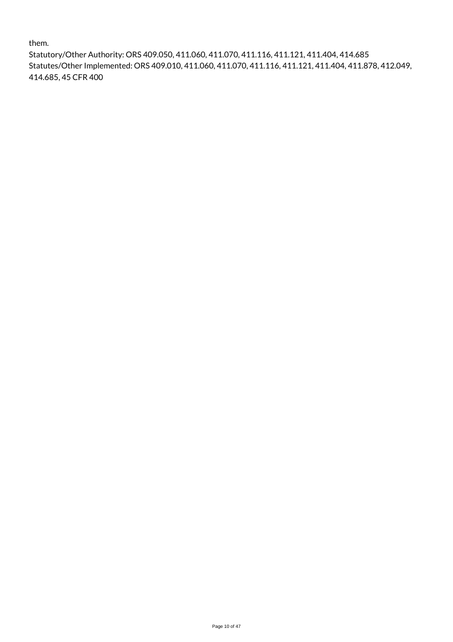them.

Statutory/Other Authority: ORS 409.050, 411.060, 411.070, 411.116, 411.121, 411.404, 414.685 Statutes/Other Implemented: ORS 409.010, 411.060, 411.070, 411.116, 411.121, 411.404, 411.878, 412.049, 414.685, 45 CFR 400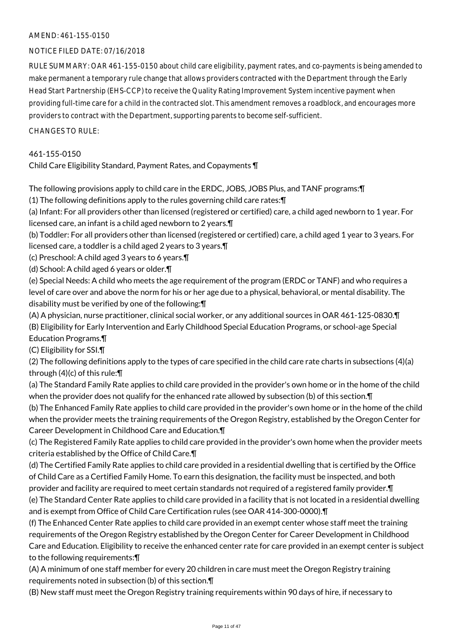## AMEND: 461-155-0150

## NOTICE FILED DATE: 07/16/2018

RULE SUMMARY: OAR 461-155-0150 about child care eligibility, payment rates, and co-payments is being amended to make permanent a temporary rule change that allows providers contracted with the Department through the Early Head Start Partnership (EHS-CCP) to receive the Quality Rating Improvement System incentive payment when providing full-time care for a child in the contracted slot. This amendment removes a roadblock, and encourages more providers to contract with the Department, supporting parents to become self-sufficient.

### CHANGES TO RULE:

### 461-155-0150

Child Care Eligibility Standard, Payment Rates, and Copayments ¶

The following provisions apply to child care in the ERDC, JOBS, JOBS Plus, and TANF programs:¶

(1) The following definitions apply to the rules governing child care rates:¶

(a) Infant: For all providers other than licensed (registered or certified) care, a child aged newborn to 1 year. For licensed care, an infant is a child aged newborn to 2 years.¶

(b) Toddler: For all providers other than licensed (registered or certified) care, a child aged 1 year to 3 years. For licensed care, a toddler is a child aged 2 years to 3 years.¶

(c) Preschool: A child aged 3 years to 6 years.¶

(d) School: A child aged 6 years or older.¶

(e) Special Needs: A child who meets the age requirement of the program (ERDC or TANF) and who requires a level of care over and above the norm for his or her age due to a physical, behavioral, or mental disability. The disability must be verified by one of the following:¶

(A) A physician, nurse practitioner, clinical social worker, or any additional sources in OAR 461-125-0830.¶ (B) Eligibility for Early Intervention and Early Childhood Special Education Programs, or school-age Special Education Programs.¶

(C) Eligibility for SSI.¶

(2) The following definitions apply to the types of care specified in the child care rate charts in subsections (4)(a) through (4)(c) of this rule:¶

(a) The Standard Family Rate applies to child care provided in the provider's own home or in the home of the child when the provider does not qualify for the enhanced rate allowed by subsection (b) of this section.¶

(b) The Enhanced Family Rate applies to child care provided in the provider's own home or in the home of the child when the provider meets the training requirements of the Oregon Registry, established by the Oregon Center for Career Development in Childhood Care and Education.¶

(c) The Registered Family Rate applies to child care provided in the provider's own home when the provider meets criteria established by the Office of Child Care.¶

(d) The Certified Family Rate applies to child care provided in a residential dwelling that is certified by the Office of Child Care as a Certified Family Home. To earn this designation, the facility must be inspected, and both provider and facility are required to meet certain standards not required of a registered family provider.¶

(e) The Standard Center Rate applies to child care provided in a facility that is not located in a residential dwelling and is exempt from Office of Child Care Certification rules (see OAR 414-300-0000).¶

(f) The Enhanced Center Rate applies to child care provided in an exempt center whose staff meet the training requirements of the Oregon Registry established by the Oregon Center for Career Development in Childhood Care and Education. Eligibility to receive the enhanced center rate for care provided in an exempt center is subject to the following requirements:¶

(A) A minimum of one staff member for every 20 children in care must meet the Oregon Registry training requirements noted in subsection (b) of this section.¶

(B) New staff must meet the Oregon Registry training requirements within 90 days of hire, if necessary to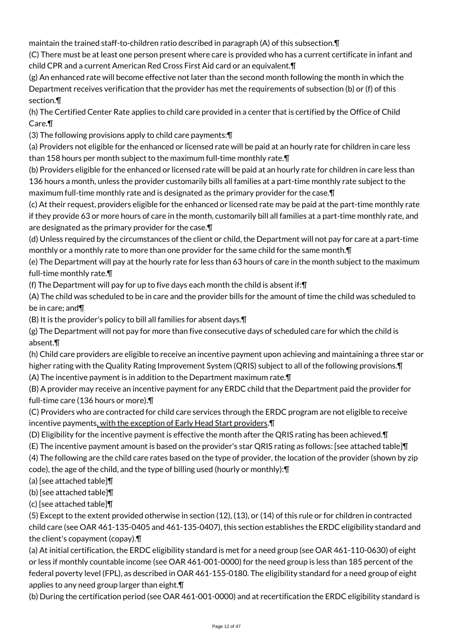maintain the trained staff-to-children ratio described in paragraph (A) of this subsection.¶

(C) There must be at least one person present where care is provided who has a current certificate in infant and child CPR and a current American Red Cross First Aid card or an equivalent.¶

(g) An enhanced rate will become effective not later than the second month following the month in which the Department receives verification that the provider has met the requirements of subsection (b) or (f) of this section.¶

(h) The Certified Center Rate applies to child care provided in a center that is certified by the Office of Child Care.¶

(3) The following provisions apply to child care payments:¶

(a) Providers not eligible for the enhanced or licensed rate will be paid at an hourly rate for children in care less than 158 hours per month subject to the maximum full-time monthly rate.¶

(b) Providers eligible for the enhanced or licensed rate will be paid at an hourly rate for children in care less than 136 hours a month, unless the provider customarily bills all families at a part-time monthly rate subject to the maximum full-time monthly rate and is designated as the primary provider for the case.¶

(c) At their request, providers eligible for the enhanced or licensed rate may be paid at the part-time monthly rate if they provide 63 or more hours of care in the month, customarily bill all families at a part-time monthly rate, and are designated as the primary provider for the case.¶

(d) Unless required by the circumstances of the client or child, the Department will not pay for care at a part-time monthly or a monthly rate to more than one provider for the same child for the same month.¶

(e) The Department will pay at the hourly rate for less than 63 hours of care in the month subject to the maximum full-time monthly rate.¶

(f) The Department will pay for up to five days each month the child is absent if:¶

(A) The child was scheduled to be in care and the provider bills for the amount of time the child was scheduled to be in care; and¶

(B) It is the provider's policy to bill all families for absent days.¶

(g) The Department will not pay for more than five consecutive days of scheduled care for which the child is absent.¶

(h) Child care providers are eligible to receive an incentive payment upon achieving and maintaining a three star or higher rating with the Quality Rating Improvement System (QRIS) subject to all of the following provisions.¶

(A) The incentive payment is in addition to the Department maximum rate.¶

(B) A provider may receive an incentive payment for any ERDC child that the Department paid the provider for full-time care (136 hours or more).¶

(C) Providers who are contracted for child care services through the ERDC program are not eligible to receive incentive payments, with the exception of Early Head Start providers.¶

(D) Eligibility for the incentive payment is effective the month after the QRIS rating has been achieved.¶

(E) The incentive payment amount is based on the provider's star QRIS rating as follows: [see attached table]¶

(4) The following are the child care rates based on the type of provider, the location of the provider (shown by zip code), the age of the child, and the type of billing used (hourly or monthly):¶

(a) [see attached table]¶

(b) [see attached table]¶

(c) [see attached table]¶

(5) Except to the extent provided otherwise in section (12), (13), or (14) of this rule or for children in contracted child care (see OAR 461-135-0405 and 461-135-0407), this section establishes the ERDC eligibility standard and the client's copayment (copay).¶

(a) At initial certification, the ERDC eligibility standard is met for a need group (see OAR 461-110-0630) of eight or less if monthly countable income (see OAR 461-001-0000) for the need group is less than 185 percent of the federal poverty level (FPL), as described in OAR 461-155-0180. The eligibility standard for a need group of eight applies to any need group larger than eight.¶

(b) During the certification period (see OAR 461-001-0000) and at recertification the ERDC eligibility standard is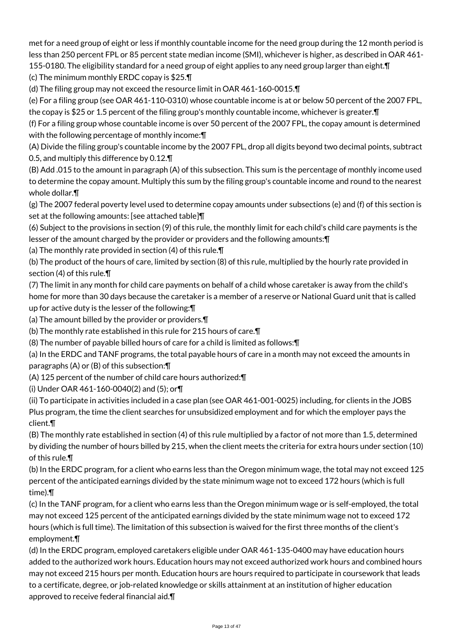met for a need group of eight or less if monthly countable income for the need group during the 12 month period is less than 250 percent FPL or 85 percent state median income (SMI), whichever is higher, as described in OAR 461- 155-0180. The eligibility standard for a need group of eight applies to any need group larger than eight.¶

(c) The minimum monthly ERDC copay is \$25.¶

(d) The filing group may not exceed the resource limit in OAR 461-160-0015.¶

(e) For a filing group (see OAR 461-110-0310) whose countable income is at or below 50 percent of the 2007 FPL, the copay is \$25 or 1.5 percent of the filing group's monthly countable income, whichever is greater.¶

(f) For a filing group whose countable income is over 50 percent of the 2007 FPL, the copay amount is determined with the following percentage of monthly income:¶

(A) Divide the filing group's countable income by the 2007 FPL, drop all digits beyond two decimal points, subtract 0.5, and multiply this difference by 0.12.¶

(B) Add .015 to the amount in paragraph (A) of this subsection. This sum is the percentage of monthly income used to determine the copay amount. Multiply this sum by the filing group's countable income and round to the nearest whole dollar.¶

(g) The 2007 federal poverty level used to determine copay amounts under subsections (e) and (f) of this section is set at the following amounts: [see attached table]¶

(6) Subject to the provisions in section (9) of this rule, the monthly limit for each child's child care payments is the lesser of the amount charged by the provider or providers and the following amounts:¶

(a) The monthly rate provided in section (4) of this rule.¶

(b) The product of the hours of care, limited by section (8) of this rule, multiplied by the hourly rate provided in section (4) of this rule.¶

(7) The limit in any month for child care payments on behalf of a child whose caretaker is away from the child's home for more than 30 days because the caretaker is a member of a reserve or National Guard unit that is called up for active duty is the lesser of the following:¶

- (a) The amount billed by the provider or providers.¶
- (b) The monthly rate established in this rule for 215 hours of care.¶

(8) The number of payable billed hours of care for a child is limited as follows:¶

(a) In the ERDC and TANF programs, the total payable hours of care in a month may not exceed the amounts in paragraphs (A) or (B) of this subsection:¶

(A) 125 percent of the number of child care hours authorized:¶

(i) Under OAR 461-160-0040(2) and (5); or¶

(ii) To participate in activities included in a case plan (see OAR 461-001-0025) including, for clients in the JOBS Plus program, the time the client searches for unsubsidized employment and for which the employer pays the client.¶

(B) The monthly rate established in section (4) of this rule multiplied by a factor of not more than 1.5, determined by dividing the number of hours billed by 215, when the client meets the criteria for extra hours under section (10) of this rule.¶

(b) In the ERDC program, for a client who earns less than the Oregon minimum wage, the total may not exceed 125 percent of the anticipated earnings divided by the state minimum wage not to exceed 172 hours (which is full time).¶

(c) In the TANF program, for a client who earns less than the Oregon minimum wage or is self-employed, the total may not exceed 125 percent of the anticipated earnings divided by the state minimum wage not to exceed 172 hours (which is full time). The limitation of this subsection is waived for the first three months of the client's employment.¶

(d) In the ERDC program, employed caretakers eligible under OAR 461-135-0400 may have education hours added to the authorized work hours. Education hours may not exceed authorized work hours and combined hours may not exceed 215 hours per month. Education hours are hours required to participate in coursework that leads to a certificate, degree, or job-related knowledge or skills attainment at an institution of higher education approved to receive federal financial aid.¶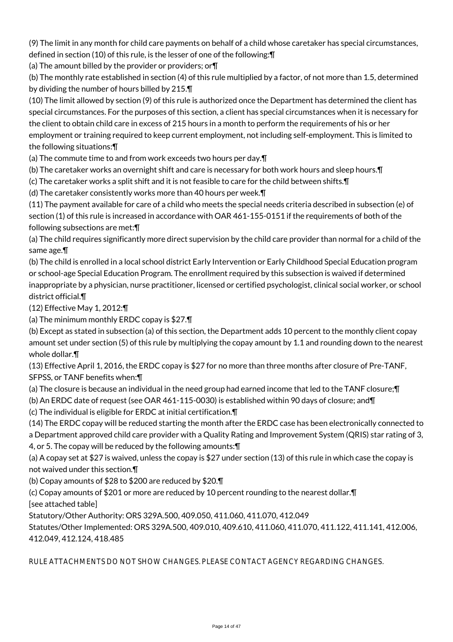(9) The limit in any month for child care payments on behalf of a child whose caretaker has special circumstances, defined in section (10) of this rule, is the lesser of one of the following:¶

(a) The amount billed by the provider or providers; or¶

(b) The monthly rate established in section (4) of this rule multiplied by a factor, of not more than 1.5, determined by dividing the number of hours billed by 215.¶

(10) The limit allowed by section (9) of this rule is authorized once the Department has determined the client has special circumstances. For the purposes of this section, a client has special circumstances when it is necessary for the client to obtain child care in excess of 215 hours in a month to perform the requirements of his or her employment or training required to keep current employment, not including self-employment. This is limited to the following situations:¶

(a) The commute time to and from work exceeds two hours per day.¶

(b) The caretaker works an overnight shift and care is necessary for both work hours and sleep hours.¶

(c) The caretaker works a split shift and it is not feasible to care for the child between shifts.¶

(d) The caretaker consistently works more than 40 hours per week.¶

(11) The payment available for care of a child who meets the special needs criteria described in subsection (e) of section (1) of this rule is increased in accordance with OAR 461-155-0151 if the requirements of both of the following subsections are met:¶

(a) The child requires significantly more direct supervision by the child care provider than normal for a child of the same age.¶

(b) The child is enrolled in a local school district Early Intervention or Early Childhood Special Education program or school-age Special Education Program. The enrollment required by this subsection is waived if determined inappropriate by a physician, nurse practitioner, licensed or certified psychologist, clinical social worker, or school district official.¶

(12) Effective May 1, 2012:¶

(a) The minimum monthly ERDC copay is \$27.¶

(b) Except as stated in subsection (a) of this section, the Department adds 10 percent to the monthly client copay amount set under section (5) of this rule by multiplying the copay amount by 1.1 and rounding down to the nearest whole dollar.¶

(13) Effective April 1, 2016, the ERDC copay is \$27 for no more than three months after closure of Pre-TANF, SFPSS, or TANF benefits when:¶

(a) The closure is because an individual in the need group had earned income that led to the TANF closure;¶

(b) An ERDC date of request (see OAR 461-115-0030) is established within 90 days of closure; and¶

(c) The individual is eligible for ERDC at initial certification.¶

(14) The ERDC copay will be reduced starting the month after the ERDC case has been electronically connected to a Department approved child care provider with a Quality Rating and Improvement System (QRIS) star rating of 3, 4, or 5. The copay will be reduced by the following amounts:¶

(a) A copay set at \$27 is waived, unless the copay is \$27 under section (13) of this rule in which case the copay is not waived under this section.¶

(b) Copay amounts of \$28 to \$200 are reduced by \$20.¶

(c) Copay amounts of \$201 or more are reduced by 10 percent rounding to the nearest dollar.¶

[see attached table]

Statutory/Other Authority: ORS 329A.500, 409.050, 411.060, 411.070, 412.049

Statutes/Other Implemented: ORS 329A.500, 409.010, 409.610, 411.060, 411.070, 411.122, 411.141, 412.006, 412.049, 412.124, 418.485

RULE ATTACHMENTS DO NOT SHOW CHANGES. PLEASE CONTACT AGENCY REGARDING CHANGES.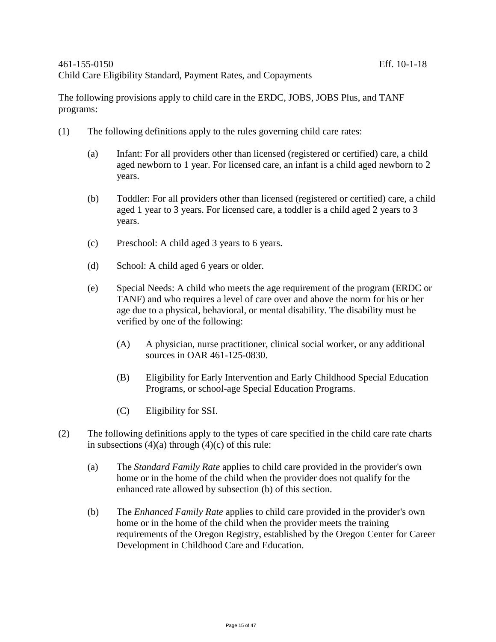The following provisions apply to child care in the ERDC, JOBS, JOBS Plus, and TANF programs:

- (1) The following definitions apply to the rules governing child care rates:
	- (a) Infant: For all providers other than licensed (registered or certified) care, a child aged newborn to 1 year. For licensed care, an infant is a child aged newborn to 2 years.
	- (b) Toddler: For all providers other than licensed (registered or certified) care, a child aged 1 year to 3 years. For licensed care, a toddler is a child aged 2 years to 3 years.
	- (c) Preschool: A child aged 3 years to 6 years.
	- (d) School: A child aged 6 years or older.
	- (e) Special Needs: A child who meets the age requirement of the program (ERDC or TANF) and who requires a level of care over and above the norm for his or her age due to a physical, behavioral, or mental disability. The disability must be verified by one of the following:
		- (A) A physician, nurse practitioner, clinical social worker, or any additional sources in OAR 461-125-0830.
		- (B) Eligibility for Early Intervention and Early Childhood Special Education Programs, or school-age Special Education Programs.
		- (C) Eligibility for SSI.
- (2) The following definitions apply to the types of care specified in the child care rate charts in subsections  $(4)(a)$  through  $(4)(c)$  of this rule:
	- (a) The *Standard Family Rate* applies to child care provided in the provider's own home or in the home of the child when the provider does not qualify for the enhanced rate allowed by subsection (b) of this section.
	- (b) The *Enhanced Family Rate* applies to child care provided in the provider's own home or in the home of the child when the provider meets the training requirements of the Oregon Registry, established by the Oregon Center for Career Development in Childhood Care and Education.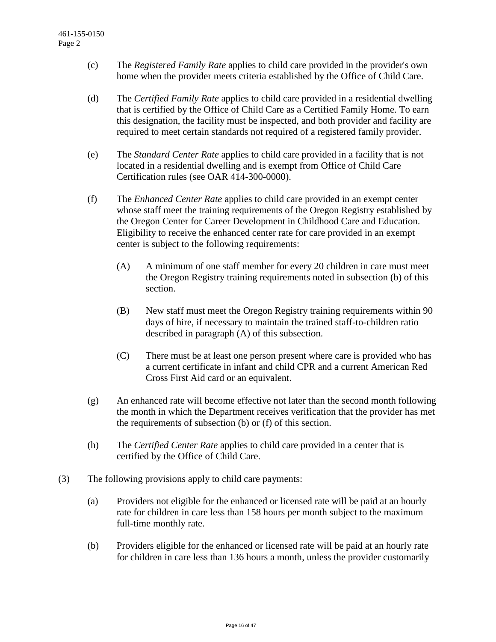- (c) The *Registered Family Rate* applies to child care provided in the provider's own home when the provider meets criteria established by the Office of Child Care.
- (d) The *Certified Family Rate* applies to child care provided in a residential dwelling that is certified by the Office of Child Care as a Certified Family Home. To earn this designation, the facility must be inspected, and both provider and facility are required to meet certain standards not required of a registered family provider.
- (e) The *Standard Center Rate* applies to child care provided in a facility that is not located in a residential dwelling and is exempt from Office of Child Care Certification rules (see OAR 414-300-0000).
- (f) The *Enhanced Center Rate* applies to child care provided in an exempt center whose staff meet the training requirements of the Oregon Registry established by the Oregon Center for Career Development in Childhood Care and Education. Eligibility to receive the enhanced center rate for care provided in an exempt center is subject to the following requirements:
	- (A) A minimum of one staff member for every 20 children in care must meet the Oregon Registry training requirements noted in subsection (b) of this section.
	- (B) New staff must meet the Oregon Registry training requirements within 90 days of hire, if necessary to maintain the trained staff-to-children ratio described in paragraph (A) of this subsection.
	- (C) There must be at least one person present where care is provided who has a current certificate in infant and child CPR and a current American Red Cross First Aid card or an equivalent.
- (g) An enhanced rate will become effective not later than the second month following the month in which the Department receives verification that the provider has met the requirements of subsection (b) or (f) of this section.
- (h) The *Certified Center Rate* applies to child care provided in a center that is certified by the Office of Child Care.
- (3) The following provisions apply to child care payments:
	- (a) Providers not eligible for the enhanced or licensed rate will be paid at an hourly rate for children in care less than 158 hours per month subject to the maximum full-time monthly rate.
	- (b) Providers eligible for the enhanced or licensed rate will be paid at an hourly rate for children in care less than 136 hours a month, unless the provider customarily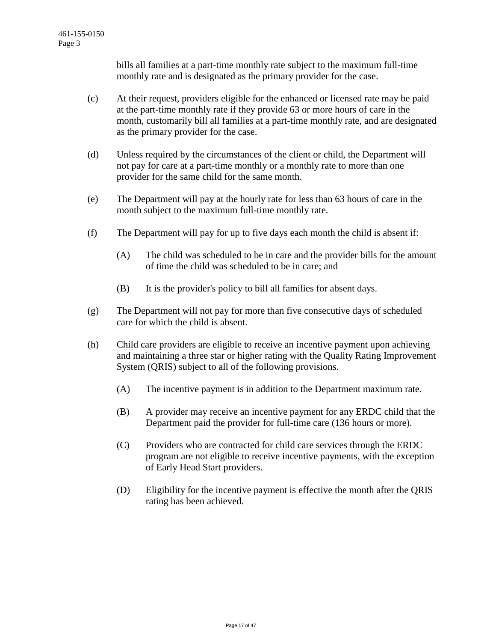bills all families at a part-time monthly rate subject to the maximum full-time monthly rate and is designated as the primary provider for the case.

- (c) At their request, providers eligible for the enhanced or licensed rate may be paid at the part-time monthly rate if they provide 63 or more hours of care in the month, customarily bill all families at a part-time monthly rate, and are designated as the primary provider for the case.
- (d) Unless required by the circumstances of the client or child, the Department will not pay for care at a part-time monthly or a monthly rate to more than one provider for the same child for the same month.
- (e) The Department will pay at the hourly rate for less than 63 hours of care in the month subject to the maximum full-time monthly rate.
- (f) The Department will pay for up to five days each month the child is absent if:
	- (A) The child was scheduled to be in care and the provider bills for the amount of time the child was scheduled to be in care; and
	- (B) It is the provider's policy to bill all families for absent days.
- (g) The Department will not pay for more than five consecutive days of scheduled care for which the child is absent.
- (h) Child care providers are eligible to receive an incentive payment upon achieving and maintaining a three star or higher rating with the Quality Rating Improvement System (QRIS) subject to all of the following provisions.
	- (A) The incentive payment is in addition to the Department maximum rate.
	- (B) A provider may receive an incentive payment for any ERDC child that the Department paid the provider for full-time care (136 hours or more).
	- (C) Providers who are contracted for child care services through the ERDC program are not eligible to receive incentive payments, with the exception of Early Head Start providers.
	- (D) Eligibility for the incentive payment is effective the month after the QRIS rating has been achieved.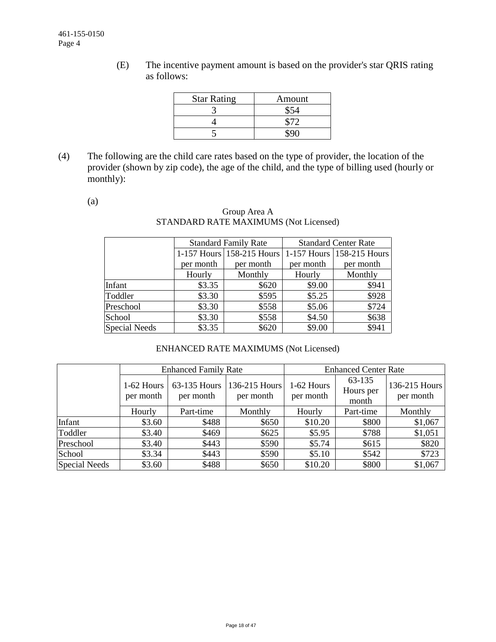(E) The incentive payment amount is based on the provider's star QRIS rating as follows:

| <b>Star Rating</b> | Amount |
|--------------------|--------|
|                    |        |
|                    |        |
|                    |        |

(4) The following are the child care rates based on the type of provider, the location of the provider (shown by zip code), the age of the child, and the type of billing used (hourly or monthly):

(a)

## Group Area A STANDARD RATE MAXIMUMS (Not Licensed)

|                      |           | <b>Standard Family Rate</b>                         | <b>Standard Center Rate</b> |           |  |
|----------------------|-----------|-----------------------------------------------------|-----------------------------|-----------|--|
|                      |           | 1-157 Hours 158-215 Hours 1-157 Hours 158-215 Hours |                             |           |  |
|                      | per month | per month                                           | per month                   | per month |  |
|                      | Hourly    | Monthly                                             | Hourly                      | Monthly   |  |
| Infant               | \$3.35    | \$620                                               | \$9.00                      | \$941     |  |
| Toddler              | \$3.30    | \$595                                               | \$5.25                      | \$928     |  |
| Preschool            | \$3.30    | \$558                                               | \$5.06                      | \$724     |  |
| School               | \$3.30    | \$558                                               | \$4.50                      | \$638     |  |
| <b>Special Needs</b> | \$3.35    | \$620                                               | \$9.00                      | \$941     |  |

## ENHANCED RATE MAXIMUMS (Not Licensed)

|               |                         | <b>Enhanced Family Rate</b> |                            | <b>Enhanced Center Rate</b> |                              |                            |  |
|---------------|-------------------------|-----------------------------|----------------------------|-----------------------------|------------------------------|----------------------------|--|
|               | 1-62 Hours<br>per month | 63-135 Hours<br>per month   | 136-215 Hours<br>per month | 1-62 Hours<br>per month     | 63-135<br>Hours per<br>month | 136-215 Hours<br>per month |  |
|               | Hourly                  | Part-time                   | Monthly                    | Hourly                      | Part-time                    | Monthly                    |  |
| Infant        | \$3.60                  | \$488                       | \$650                      | \$10.20                     | \$800                        | \$1,067                    |  |
| Toddler       | \$3.40                  | \$469                       | \$625                      | \$5.95                      | \$788                        | \$1,051                    |  |
| Preschool     | \$3.40                  | \$443                       | \$590                      | \$5.74                      | \$615                        | \$820                      |  |
| School        | \$3.34                  | \$443                       | \$590                      | \$5.10                      | \$542                        | \$723                      |  |
| Special Needs | \$3.60                  | \$488                       | \$650                      | \$10.20                     | \$800                        | \$1,067                    |  |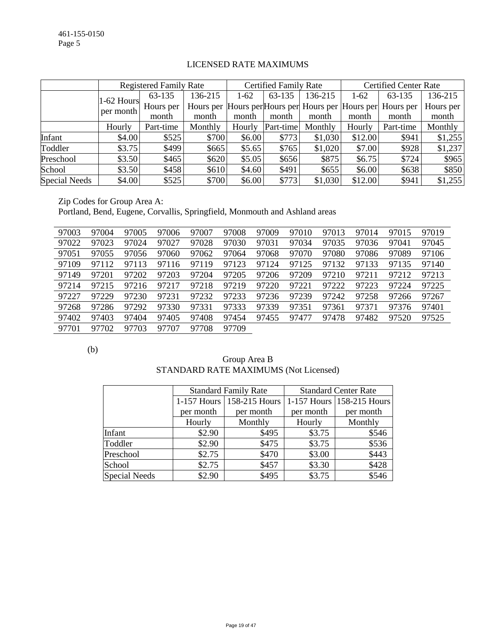|                      |              | <b>Registered Family Rate</b> |         |        | Certified Family Rate |         | <b>Certified Center Rate</b> |                                                             |           |
|----------------------|--------------|-------------------------------|---------|--------|-----------------------|---------|------------------------------|-------------------------------------------------------------|-----------|
|                      | $1-62$ Hours | 63-135                        | 136-215 | $1-62$ | 63-135                | 136-215 | $1-62$                       | 63-135                                                      | 136-215   |
|                      | per month    | Hours per                     |         |        |                       |         |                              | Hours per Hours per Hours per Hours per Hours per Hours per | Hours per |
|                      |              | month                         | month   | month  | month                 | month   | month                        | month                                                       | month     |
|                      | Hourly       | Part-time                     | Monthly | Hourly | Part-time             | Monthly | Hourly                       | Part-time                                                   | Monthly   |
| Infant               | \$4.00       | \$525                         | \$700   | \$6.00 | \$773                 | \$1,030 | \$12.00                      | \$941                                                       | \$1,255   |
| Toddler              | \$3.75       | \$499                         | \$665   | \$5.65 | \$765                 | \$1,020 | \$7.00                       | \$928                                                       | \$1,237   |
| Preschool            | \$3.50       | \$465                         | \$620   | \$5.05 | \$656                 | \$875   | \$6.75                       | \$724                                                       | \$965     |
| School               | \$3.50       | \$458                         | \$610   | \$4.60 | \$491                 | \$655   | \$6.00                       | \$638                                                       | \$850     |
| <b>Special Needs</b> | \$4.00       | \$525                         | \$700   | \$6.00 | \$773                 | \$1,030 | \$12.00                      | \$941                                                       | \$1,255   |

## LICENSED RATE MAXIMUMS

Zip Codes for Group Area A: Portland, Bend, Eugene, Corvallis, Springfield, Monmouth and Ashland areas

| 97003 | 97004 | 97005 | 97006 | 97007 | 97008 | 97009 | 97010 | 97013 | 97014 | 97015 | 97019 |
|-------|-------|-------|-------|-------|-------|-------|-------|-------|-------|-------|-------|
| 97022 | 97023 | 97024 | 97027 | 97028 | 97030 | 97031 | 97034 | 97035 | 97036 | 97041 | 97045 |
| 97051 | 97055 | 97056 | 97060 | 97062 | 97064 | 97068 | 97070 | 97080 | 97086 | 97089 | 97106 |
| 97109 | 97112 | 97113 | 97116 | 97119 | 97123 | 97124 | 97125 | 97132 | 97133 | 97135 | 97140 |
| 97149 | 97201 | 97202 | 97203 | 97204 | 97205 | 97206 | 97209 | 97210 | 97211 | 97212 | 97213 |
| 97214 | 97215 | 97216 | 97217 | 97218 | 97219 | 97220 | 97221 | 97222 | 97223 | 97224 | 97225 |
| 97227 | 97229 | 97230 | 97231 | 97232 | 97233 | 97236 | 97239 | 97242 | 97258 | 97266 | 97267 |
| 97268 | 97286 | 97292 | 97330 | 97331 | 97333 | 97339 | 97351 | 97361 | 97371 | 97376 | 97401 |
| 97402 | 97403 | 97404 | 97405 | 97408 | 97454 | 97455 | 97477 | 97478 | 97482 | 97520 | 97525 |
| 97701 | 97702 | 97703 | 97707 | 97708 | 97709 |       |       |       |       |       |       |

(b)

| Group Area B                          |
|---------------------------------------|
| STANDARD RATE MAXIMUMS (Not Licensed) |

|               |                             | <b>Standard Family Rate</b> | <b>Standard Center Rate</b> |                           |  |  |
|---------------|-----------------------------|-----------------------------|-----------------------------|---------------------------|--|--|
|               | 1-157 Hours   158-215 Hours |                             |                             | 1-157 Hours 158-215 Hours |  |  |
|               | per month                   | per month                   | per month                   | per month                 |  |  |
|               | Hourly                      | Monthly                     | Hourly                      | Monthly                   |  |  |
| Infant        | \$2.90                      | \$495                       | \$3.75                      | \$546                     |  |  |
| Toddler       | \$2.90                      | \$475                       | \$3.75                      | \$536                     |  |  |
| Preschool     | \$2.75                      | \$470                       | \$3.00                      | \$443                     |  |  |
| School        | \$2.75                      | \$457                       | \$3.30                      | \$428                     |  |  |
| Special Needs | \$2.90                      | \$495                       | \$3.75                      | \$546                     |  |  |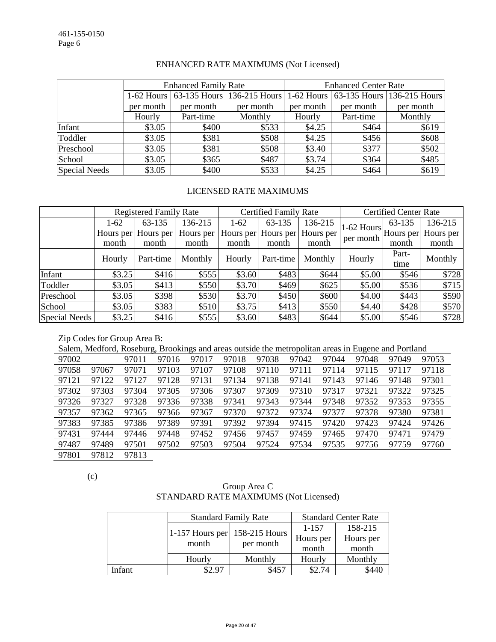|               |                                       | <b>Enhanced Family Rate</b> |           | <b>Enhanced Center Rate</b> |           |                                       |  |
|---------------|---------------------------------------|-----------------------------|-----------|-----------------------------|-----------|---------------------------------------|--|
|               | 1-62 Hours 63-135 Hours 136-215 Hours |                             |           |                             |           | 1-62 Hours 63-135 Hours 136-215 Hours |  |
|               | per month                             | per month                   | per month | per month                   | per month | per month                             |  |
|               | Hourly                                | Part-time                   | Monthly   | Hourly                      | Part-time | Monthly                               |  |
| Infant        | \$3.05                                | \$400                       | \$533     | \$4.25                      | \$464     | \$619                                 |  |
| Toddler       | \$3.05                                | \$381                       | \$508     | \$4.25                      | \$456     | \$608                                 |  |
| Preschool     | \$3.05                                | \$381                       | \$508     | \$3.40                      | \$377     | \$502                                 |  |
| School        | \$3.05                                | \$365                       | \$487     | \$3.74                      | \$364     | \$485                                 |  |
| Special Needs | \$3.05                                | \$400                       | \$533     | \$4.25                      | \$464     | \$619                                 |  |

### ENHANCED RATE MAXIMUMS (Not Licensed)

### LICENSED RATE MAXIMUMS

|                      | <b>Registered Family Rate</b> |                     |           |        | <b>Certified Family Rate</b> |           | <b>Certified Center Rate</b>                       |        |           |
|----------------------|-------------------------------|---------------------|-----------|--------|------------------------------|-----------|----------------------------------------------------|--------|-----------|
|                      | $1-62$                        | 63-135              | 136-215   | $1-62$ | 63-135                       | 136-215   |                                                    | 63-135 | 136-215   |
|                      |                               | Hours per Hours per | Hours per |        | Hours per Hours per          | Hours per | $ 1-62$ Hours $ $ Hours per $ \cdot $<br>per month |        | Hours per |
|                      | month                         | month               | month     | month  | month                        | month     |                                                    | month  | month     |
|                      | Hourly                        | Part-time           | Monthly   | Hourly | Part-time                    | Monthly   | Hourly                                             | Part-  | Monthly   |
|                      |                               |                     |           |        |                              |           |                                                    | time   |           |
| Infant               | \$3.25                        | \$416               | \$555     | \$3.60 | \$483                        | \$644     | \$5.00                                             | \$546  | \$728     |
| Toddler              | \$3.05                        | \$413               | \$550     | \$3.70 | \$469                        | \$625     | \$5.00                                             | \$536  | \$715     |
| Preschool            | \$3.05                        | \$398               | \$530     | \$3.70 | \$450                        | \$600     | \$4.00                                             | \$443  | \$590     |
| School               | \$3.05                        | \$383               | \$510     | \$3.75 | \$413                        | \$550     | \$4.40                                             | \$428  | \$570     |
| <b>Special Needs</b> | \$3.25                        | \$416               | \$555     | \$3.60 | \$483                        | \$644     | \$5.00                                             | \$546  | \$728     |

#### Zip Codes for Group Area B:

Salem, Medford, Roseburg, Brookings and areas outside the metropolitan areas in Eugene and Portland

| 97002 |       | 97011 | 97016 | 97017 | 97018 | 97038 | 97042 | 97044 | 97048 | 97049 | 97053 |
|-------|-------|-------|-------|-------|-------|-------|-------|-------|-------|-------|-------|
| 97058 | 97067 | 97071 | 97103 | 97107 | 97108 | 97110 | 97111 | 97114 | 97115 | 97117 | 97118 |
| 97121 | 97122 | 97127 | 97128 | 97131 | 97134 | 97138 | 97141 | 97143 | 97146 | 97148 | 97301 |
| 97302 | 97303 | 97304 | 97305 | 97306 | 97307 | 97309 | 97310 | 97317 | 97321 | 97322 | 97325 |
| 97326 | 97327 | 97328 | 97336 | 97338 | 97341 | 97343 | 97344 | 97348 | 97352 | 97353 | 97355 |
| 97357 | 97362 | 97365 | 97366 | 97367 | 97370 | 97372 | 97374 | 97377 | 97378 | 97380 | 97381 |
| 97383 | 97385 | 97386 | 97389 | 97391 | 97392 | 97394 | 97415 | 97420 | 97423 | 97424 | 97426 |
| 97431 | 97444 | 97446 | 97448 | 97452 | 97456 | 97457 | 97459 | 97465 | 97470 | 97471 | 97479 |
| 97487 | 97489 | 97501 | 97502 | 97503 | 97504 | 97524 | 97534 | 97535 | 97756 | 97759 | 97760 |
| 97801 | 97812 | 97813 |       |       |       |       |       |       |       |       |       |

(c)

## Group Area C STANDARD RATE MAXIMUMS (Not Licensed)

|        |                                 | <b>Standard Family Rate</b> | <b>Standard Center Rate</b> |           |  |
|--------|---------------------------------|-----------------------------|-----------------------------|-----------|--|
|        | 1-157 Hours per $158-215$ Hours |                             | 1-157                       | 158-215   |  |
|        | month                           | per month                   | Hours per                   | Hours per |  |
|        |                                 |                             | month                       | month     |  |
|        | Hourly                          | Monthly                     | Hourly                      | Monthly   |  |
| Infant | \$2.97                          | \$457                       | \$2.74                      | \$440     |  |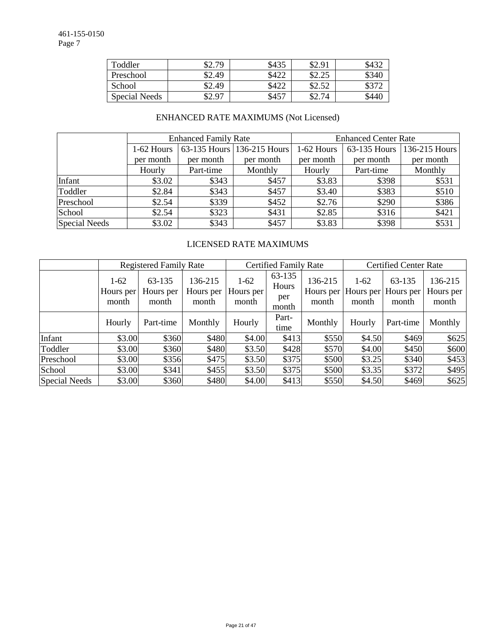| Toddler       | 32.79  | \$435 | \$2.91         | \$432 |
|---------------|--------|-------|----------------|-------|
| Preschool     | \$2.49 | \$422 | ぐつ つぐ<br>04.4J | \$340 |
| School        | \$2.49 | \$422 | \$2.52         |       |
| Special Needs | 0.97   | \$457 | \$2.74         | \$44  |

## ENHANCED RATE MAXIMUMS (Not Licensed)

|                      |              | <b>Enhanced Family Rate</b> |                            | <b>Enhanced Center Rate</b> |                        |               |  |
|----------------------|--------------|-----------------------------|----------------------------|-----------------------------|------------------------|---------------|--|
|                      | $1-62$ Hours |                             | 63-135 Hours 136-215 Hours | 1-62 Hours                  | $63-135$ Hours $\vert$ | 136-215 Hours |  |
|                      | per month    | per month                   | per month                  | per month                   | per month              | per month     |  |
|                      | Hourly       | Part-time                   | Monthly                    | Hourly                      | Part-time              | Monthly       |  |
| Infant               | \$3.02       | \$343                       | \$457                      | \$3.83                      | \$398                  | \$531         |  |
| Toddler              | \$2.84       | \$343                       | \$457                      | \$3.40                      | \$383                  | \$510         |  |
| Preschool            | \$2.54       | \$339                       | \$452                      | \$2.76                      | \$290                  | \$386         |  |
| School               | \$2.54       | \$323                       | \$431                      | \$2.85                      | \$316                  | \$421         |  |
| <b>Special Needs</b> | \$3.02       | \$343                       | \$457                      | \$3.83                      | \$398                  | \$531         |  |

## LICENSED RATE MAXIMUMS

|                      | <b>Registered Family Rate</b> |                              |                               | <b>Certified Family Rate</b> |                                 |                               | <b>Certified Center Rate</b> |                              |                               |
|----------------------|-------------------------------|------------------------------|-------------------------------|------------------------------|---------------------------------|-------------------------------|------------------------------|------------------------------|-------------------------------|
|                      | $1-62$<br>Hours per<br>month  | 63-135<br>Hours per<br>month | 136-215<br>Hours per<br>month | $1-62$<br>Hours per<br>month | 63-135<br>Hours<br>per<br>month | 136-215<br>Hours per<br>month | $1-62$<br>Hours per<br>month | 63-135<br>Hours per<br>month | 136-215<br>Hours per<br>month |
|                      | Hourly                        | Part-time                    | Monthly                       | Hourly                       | Part-<br>time                   | Monthly                       | Hourly                       | Part-time                    | Monthly                       |
| Infant               | \$3.00                        | \$360                        | \$480                         | \$4.00                       | \$413                           | \$550                         | \$4.50                       | \$469                        | \$625                         |
| Toddler              | \$3.00                        | \$360                        | \$480                         | \$3.50                       | \$428                           | \$570                         | \$4.00                       | \$450                        | \$600                         |
| Preschool            | \$3.00                        | \$356                        | \$475                         | \$3.50                       | \$375                           | \$500                         | \$3.25                       | \$340                        | \$453                         |
| School               | \$3.00                        | \$341                        | \$455                         | \$3.50                       | \$375                           | \$500                         | \$3.35                       | \$372                        | \$495                         |
| <b>Special Needs</b> | \$3.00                        | \$360                        | \$480                         | \$4.00                       | \$413                           | \$550                         | \$4.50                       | \$469                        | \$625                         |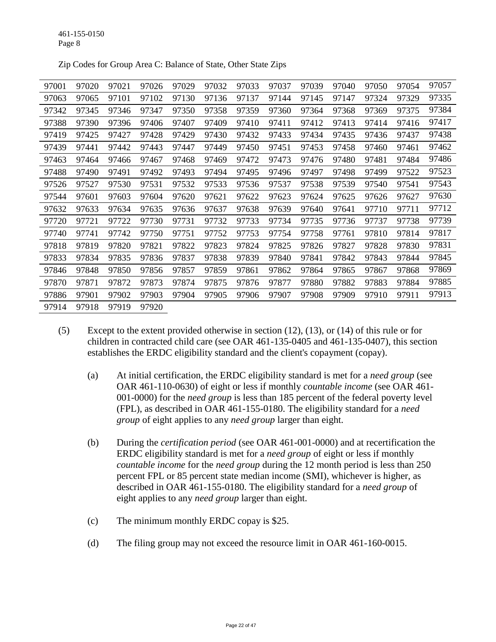| 97001 | 97020 | 97021 | 97026 | 97029 | 97032 | 97033 | 97037 | 97039 | 97040 | 97050 | 97054 | 97057 |
|-------|-------|-------|-------|-------|-------|-------|-------|-------|-------|-------|-------|-------|
| 97063 | 97065 | 97101 | 97102 | 97130 | 97136 | 97137 | 97144 | 97145 | 97147 | 97324 | 97329 | 97335 |
| 97342 | 97345 | 97346 | 97347 | 97350 | 97358 | 97359 | 97360 | 97364 | 97368 | 97369 | 97375 | 97384 |
| 97388 | 97390 | 97396 | 97406 | 97407 | 97409 | 97410 | 97411 | 97412 | 97413 | 97414 | 97416 | 97417 |
| 97419 | 97425 | 97427 | 97428 | 97429 | 97430 | 97432 | 97433 | 97434 | 97435 | 97436 | 97437 | 97438 |
| 97439 | 97441 | 97442 | 97443 | 97447 | 97449 | 97450 | 97451 | 97453 | 97458 | 97460 | 97461 | 97462 |
| 97463 | 97464 | 97466 | 97467 | 97468 | 97469 | 97472 | 97473 | 97476 | 97480 | 97481 | 97484 | 97486 |
| 97488 | 97490 | 97491 | 97492 | 97493 | 97494 | 97495 | 97496 | 97497 | 97498 | 97499 | 97522 | 97523 |
| 97526 | 97527 | 97530 | 97531 | 97532 | 97533 | 97536 | 97537 | 97538 | 97539 | 97540 | 97541 | 97543 |
| 97544 | 97601 | 97603 | 97604 | 97620 | 97621 | 97622 | 97623 | 97624 | 97625 | 97626 | 97627 | 97630 |
| 97632 | 97633 | 97634 | 97635 | 97636 | 97637 | 97638 | 97639 | 97640 | 97641 | 97710 | 97711 | 97712 |
| 97720 | 97721 | 97722 | 97730 | 97731 | 97732 | 97733 | 97734 | 97735 | 97736 | 97737 | 97738 | 97739 |
| 97740 | 97741 | 97742 | 97750 | 97751 | 97752 | 97753 | 97754 | 97758 | 97761 | 97810 | 97814 | 97817 |
| 97818 | 97819 | 97820 | 97821 | 97822 | 97823 | 97824 | 97825 | 97826 | 97827 | 97828 | 97830 | 97831 |
| 97833 | 97834 | 97835 | 97836 | 97837 | 97838 | 97839 | 97840 | 97841 | 97842 | 97843 | 97844 | 97845 |
| 97846 | 97848 | 97850 | 97856 | 97857 | 97859 | 97861 | 97862 | 97864 | 97865 | 97867 | 97868 | 97869 |
| 97870 | 97871 | 97872 | 97873 | 97874 | 97875 | 97876 | 97877 | 97880 | 97882 | 97883 | 97884 | 97885 |
| 97886 | 97901 | 97902 | 97903 | 97904 | 97905 | 97906 | 97907 | 97908 | 97909 | 97910 | 97911 | 97913 |
| 97914 | 97918 | 97919 | 97920 |       |       |       |       |       |       |       |       |       |

Zip Codes for Group Area C: Balance of State, Other State Zips

- (5) Except to the extent provided otherwise in section (12), (13), or (14) of this rule or for children in contracted child care (see OAR 461-135-0405 and 461-135-0407), this section establishes the ERDC eligibility standard and the client's copayment (copay).
	- (a) At initial certification, the ERDC eligibility standard is met for a *need group* (see OAR 461-110-0630) of eight or less if monthly *countable income* (see OAR 461- 001-0000) for the *need group* is less than 185 percent of the federal poverty level (FPL), as described in OAR 461-155-0180. The eligibility standard for a *need group* of eight applies to any *need group* larger than eight.
	- (b) During the *certification period* (see OAR 461-001-0000) and at recertification the ERDC eligibility standard is met for a *need group* of eight or less if monthly *countable income* for the *need group* during the 12 month period is less than 250 percent FPL or 85 percent state median income (SMI), whichever is higher, as described in OAR 461-155-0180. The eligibility standard for a *need group* of eight applies to any *need group* larger than eight.
	- (c) The minimum monthly ERDC copay is \$25.
	- (d) The filing group may not exceed the resource limit in OAR 461-160-0015.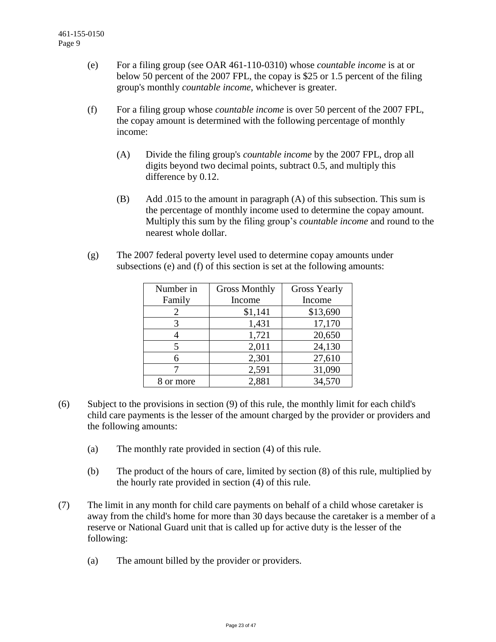- (e) For a filing group (see OAR 461-110-0310) whose *countable income* is at or below 50 percent of the 2007 FPL, the copay is \$25 or 1.5 percent of the filing group's monthly *countable income*, whichever is greater.
- (f) For a filing group whose *countable income* is over 50 percent of the 2007 FPL, the copay amount is determined with the following percentage of monthly income:
	- (A) Divide the filing group's *countable income* by the 2007 FPL, drop all digits beyond two decimal points, subtract 0.5, and multiply this difference by 0.12.
	- (B) Add .015 to the amount in paragraph (A) of this subsection. This sum is the percentage of monthly income used to determine the copay amount. Multiply this sum by the filing group's *countable income* and round to the nearest whole dollar.
- (g) The 2007 federal poverty level used to determine copay amounts under subsections (e) and (f) of this section is set at the following amounts:

| Number in | <b>Gross Monthly</b> | <b>Gross Yearly</b> |
|-----------|----------------------|---------------------|
| Family    | Income               | Income              |
| 2         | \$1,141              | \$13,690            |
| 3         | 1,431                | 17,170              |
|           | 1,721                | 20,650              |
|           | 2,011                | 24,130              |
| 6         | 2,301                | 27,610              |
|           | 2,591                | 31,090              |
| or more   | 2,881                | 34,570              |

- (6) Subject to the provisions in section (9) of this rule, the monthly limit for each child's child care payments is the lesser of the amount charged by the provider or providers and the following amounts:
	- (a) The monthly rate provided in section (4) of this rule.
	- (b) The product of the hours of care, limited by section (8) of this rule, multiplied by the hourly rate provided in section (4) of this rule.
- (7) The limit in any month for child care payments on behalf of a child whose caretaker is away from the child's home for more than 30 days because the caretaker is a member of a reserve or National Guard unit that is called up for active duty is the lesser of the following:
	- (a) The amount billed by the provider or providers.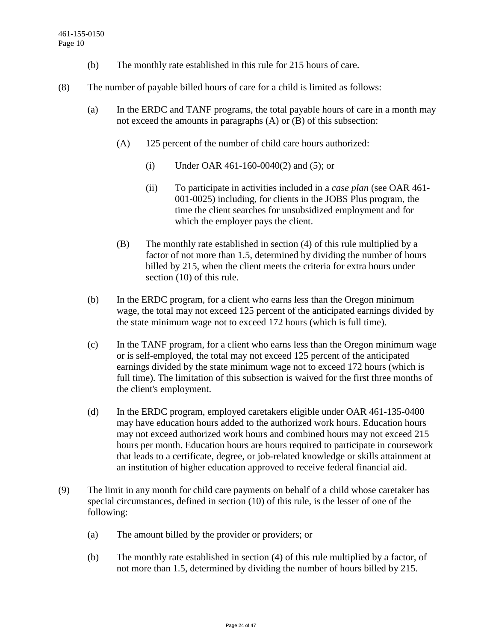- (b) The monthly rate established in this rule for 215 hours of care.
- (8) The number of payable billed hours of care for a child is limited as follows:
	- (a) In the ERDC and TANF programs, the total payable hours of care in a month may not exceed the amounts in paragraphs (A) or (B) of this subsection:
		- (A) 125 percent of the number of child care hours authorized:
			- (i) Under OAR 461-160-0040(2) and (5); or
			- (ii) To participate in activities included in a *case plan* (see OAR 461- 001-0025) including, for clients in the JOBS Plus program, the time the client searches for unsubsidized employment and for which the employer pays the client.
		- (B) The monthly rate established in section (4) of this rule multiplied by a factor of not more than 1.5, determined by dividing the number of hours billed by 215, when the client meets the criteria for extra hours under section (10) of this rule.
	- (b) In the ERDC program, for a client who earns less than the Oregon minimum wage, the total may not exceed 125 percent of the anticipated earnings divided by the state minimum wage not to exceed 172 hours (which is full time).
	- (c) In the TANF program, for a client who earns less than the Oregon minimum wage or is self-employed, the total may not exceed 125 percent of the anticipated earnings divided by the state minimum wage not to exceed 172 hours (which is full time). The limitation of this subsection is waived for the first three months of the client's employment.
	- (d) In the ERDC program, employed caretakers eligible under OAR 461-135-0400 may have education hours added to the authorized work hours. Education hours may not exceed authorized work hours and combined hours may not exceed 215 hours per month. Education hours are hours required to participate in coursework that leads to a certificate, degree, or job-related knowledge or skills attainment at an institution of higher education approved to receive federal financial aid.
- (9) The limit in any month for child care payments on behalf of a child whose caretaker has special circumstances, defined in section (10) of this rule, is the lesser of one of the following:
	- (a) The amount billed by the provider or providers; or
	- (b) The monthly rate established in section (4) of this rule multiplied by a factor, of not more than 1.5, determined by dividing the number of hours billed by 215.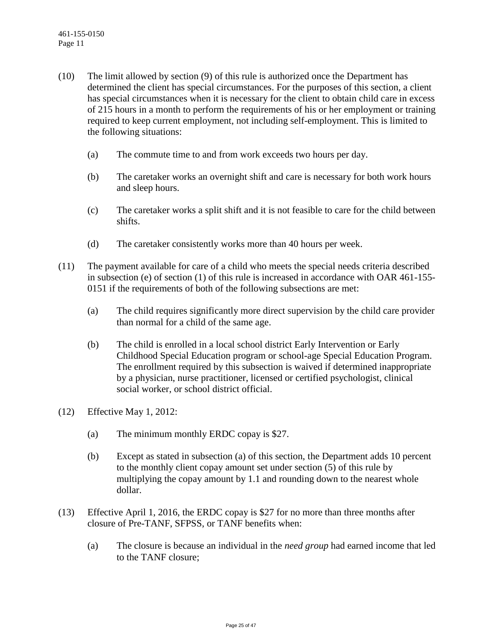- (10) The limit allowed by section (9) of this rule is authorized once the Department has determined the client has special circumstances. For the purposes of this section, a client has special circumstances when it is necessary for the client to obtain child care in excess of 215 hours in a month to perform the requirements of his or her employment or training required to keep current employment, not including self-employment. This is limited to the following situations:
	- (a) The commute time to and from work exceeds two hours per day.
	- (b) The caretaker works an overnight shift and care is necessary for both work hours and sleep hours.
	- (c) The caretaker works a split shift and it is not feasible to care for the child between shifts.
	- (d) The caretaker consistently works more than 40 hours per week.
- (11) The payment available for care of a child who meets the special needs criteria described in subsection (e) of section (1) of this rule is increased in accordance with OAR 461-155- 0151 if the requirements of both of the following subsections are met:
	- (a) The child requires significantly more direct supervision by the child care provider than normal for a child of the same age.
	- (b) The child is enrolled in a local school district Early Intervention or Early Childhood Special Education program or school-age Special Education Program. The enrollment required by this subsection is waived if determined inappropriate by a physician, nurse practitioner, licensed or certified psychologist, clinical social worker, or school district official.
- (12) Effective May 1, 2012:
	- (a) The minimum monthly ERDC copay is \$27.
	- (b) Except as stated in subsection (a) of this section, the Department adds 10 percent to the monthly client copay amount set under section (5) of this rule by multiplying the copay amount by 1.1 and rounding down to the nearest whole dollar.
- (13) Effective April 1, 2016, the ERDC copay is \$27 for no more than three months after closure of Pre-TANF, SFPSS, or TANF benefits when:
	- (a) The closure is because an individual in the *need group* had earned income that led to the TANF closure;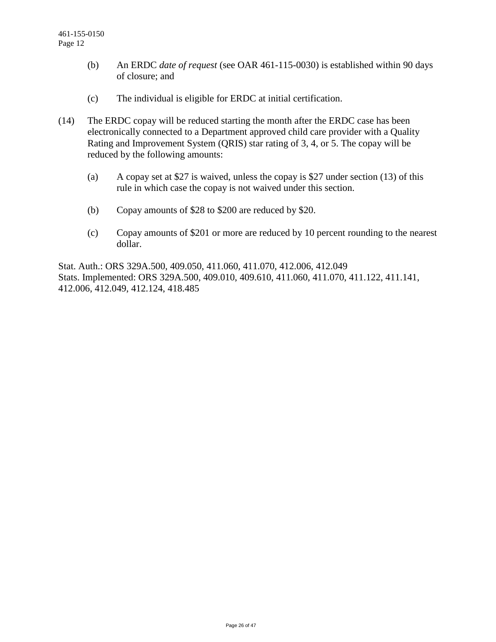- (b) An ERDC *date of request* (see OAR 461-115-0030) is established within 90 days of closure; and
- (c) The individual is eligible for ERDC at initial certification.
- (14) The ERDC copay will be reduced starting the month after the ERDC case has been electronically connected to a Department approved child care provider with a Quality Rating and Improvement System (QRIS) star rating of 3, 4, or 5. The copay will be reduced by the following amounts:
	- (a) A copay set at \$27 is waived, unless the copay is \$27 under section (13) of this rule in which case the copay is not waived under this section.
	- (b) Copay amounts of \$28 to \$200 are reduced by \$20.
	- (c) Copay amounts of \$201 or more are reduced by 10 percent rounding to the nearest dollar.

Stat. Auth.: ORS 329A.500, 409.050, 411.060, 411.070, 412.006, 412.049 Stats. Implemented: ORS 329A.500, 409.010, 409.610, 411.060, 411.070, 411.122, 411.141, 412.006, 412.049, 412.124, 418.485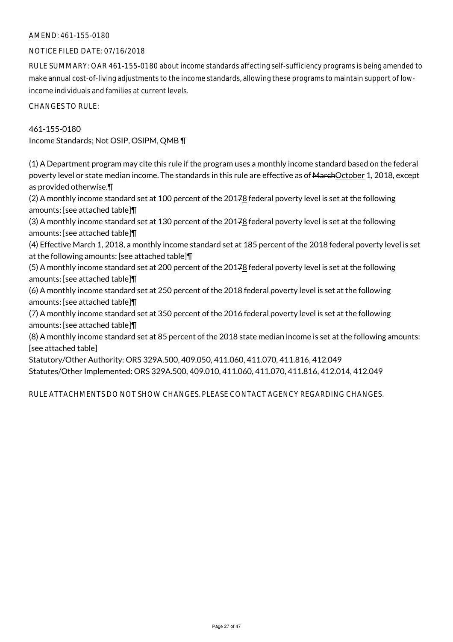### AMEND: 461-155-0180

### NOTICE FILED DATE: 07/16/2018

RULE SUMMARY: OAR 461-155-0180 about income standards affecting self-sufficiency programs is being amended to make annual cost-of-living adjustments to the income standards, allowing these programs to maintain support of lowincome individuals and families at current levels.

CHANGES TO RULE:

461-155-0180 Income Standards; Not OSIP, OSIPM, QMB ¶

(1) A Department program may cite this rule if the program uses a monthly income standard based on the federal poverty level or state median income. The standards in this rule are effective as of MarchOctober 1, 2018, except as provided otherwise.¶

(2) A monthly income standard set at 100 percent of the 20178 federal poverty level is set at the following amounts: [see attached table]¶

(3) A monthly income standard set at 130 percent of the 20178 federal poverty level is set at the following amounts: [see attached table]¶

(4) Effective March 1, 2018, a monthly income standard set at 185 percent of the 2018 federal poverty level is set at the following amounts: [see attached table]¶

(5) A monthly income standard set at 200 percent of the 20178 federal poverty level is set at the following amounts: [see attached table]¶

(6) A monthly income standard set at 250 percent of the 2018 federal poverty level is set at the following amounts: [see attached table]¶

(7) A monthly income standard set at 350 percent of the 2016 federal poverty level is set at the following amounts: [see attached table]¶

(8) A monthly income standard set at 85 percent of the 2018 state median income is set at the following amounts: [see attached table]

Statutory/Other Authority: ORS 329A.500, 409.050, 411.060, 411.070, 411.816, 412.049 Statutes/Other Implemented: ORS 329A.500, 409.010, 411.060, 411.070, 411.816, 412.014, 412.049

RULE ATTACHMENTS DO NOT SHOW CHANGES. PLEASE CONTACT AGENCY REGARDING CHANGES.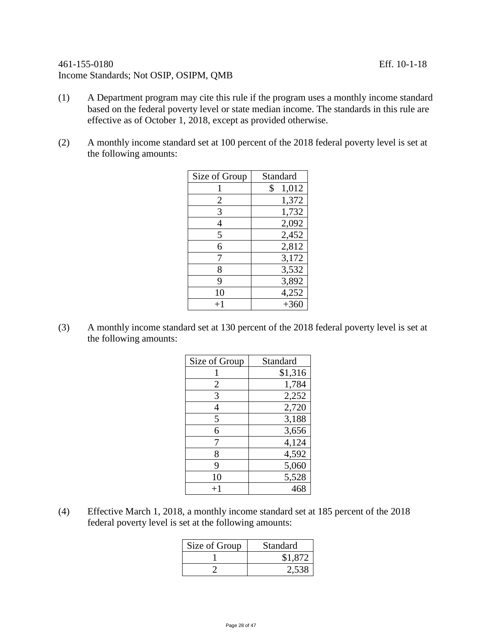## 461-155-0180 Eff. 10-1-18 Income Standards; Not OSIP, OSIPM, QMB

- (1) A Department program may cite this rule if the program uses a monthly income standard based on the federal poverty level or state median income. The standards in this rule are effective as of October 1, 2018, except as provided otherwise.
- (2) A monthly income standard set at 100 percent of the 2018 federal poverty level is set at the following amounts:

| Size of Group | Standard    |
|---------------|-------------|
|               | \$<br>1,012 |
| 2             | 1,372       |
| 3             | 1,732       |
| 4             | 2,092       |
| 5             | 2,452       |
| 6             | 2,812       |
| 7             | 3,172       |
| 8             | 3,532       |
| 9             | 3,892       |
| 10            | 4,252       |
| $+1$          | $+360$      |

(3) A monthly income standard set at 130 percent of the 2018 federal poverty level is set at the following amounts:

| Size of Group | Standard |
|---------------|----------|
|               | \$1,316  |
| 2             | 1,784    |
| 3             | 2,252    |
| 4             | 2,720    |
| 5             | 3,188    |
| 6             | 3,656    |
| 7             | 4,124    |
| 8             | 4,592    |
| 9             | 5,060    |
| 10            | 5,528    |
| $+1$          | 468      |

(4) Effective March 1, 2018, a monthly income standard set at 185 percent of the 2018 federal poverty level is set at the following amounts:

| Size of Group | Standard |
|---------------|----------|
|               | \$1,872  |
|               | 2,538    |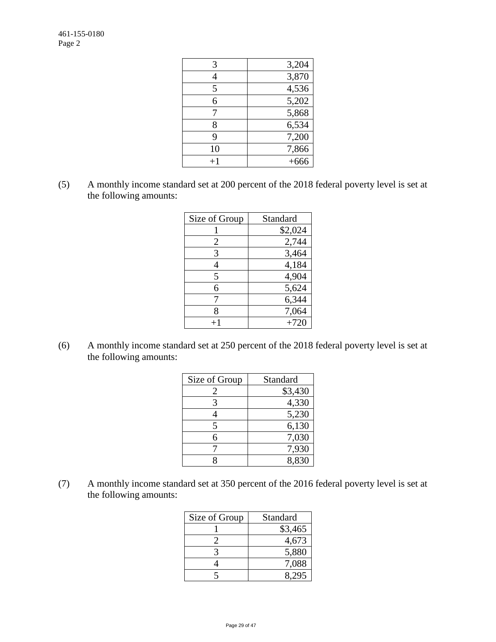| 3,204  |
|--------|
| 3,870  |
| 4,536  |
| 5,202  |
| 5,868  |
| 6,534  |
| 7,200  |
| 7,866  |
| $+666$ |
|        |

(5) A monthly income standard set at 200 percent of the 2018 federal poverty level is set at the following amounts:

| Size of Group | Standard |
|---------------|----------|
|               | \$2,024  |
| 2             | 2,744    |
| 3             | 3,464    |
| 4             | 4,184    |
| 5             | 4,904    |
| 6             | 5,624    |
|               | 6,344    |
| 8             | 7,064    |
|               | $+720$   |

(6) A monthly income standard set at 250 percent of the 2018 federal poverty level is set at the following amounts:

| Size of Group | Standard |
|---------------|----------|
| 2             | \$3,430  |
| 3             | 4,330    |
|               | 5,230    |
| 5             | 6,130    |
| 6             | 7,030    |
|               | 7,930    |
| Ջ             | 8,830    |

(7) A monthly income standard set at 350 percent of the 2016 federal poverty level is set at the following amounts:

| Size of Group | Standard |
|---------------|----------|
|               | \$3,465  |
|               | 4,673    |
|               | 5,880    |
|               | 7,088    |
|               |          |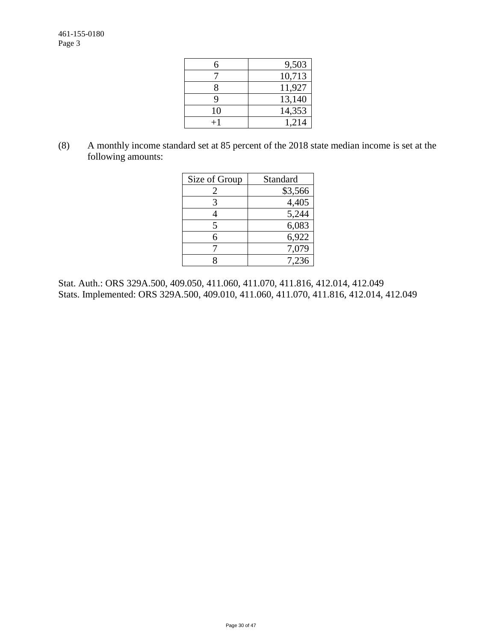| 6  | 9,503  |
|----|--------|
|    | 10,713 |
| 8  | 11,927 |
| Q  | 13,140 |
| 10 | 14,353 |
|    | 1,214  |

(8) A monthly income standard set at 85 percent of the 2018 state median income is set at the following amounts:

| Size of Group | Standard |
|---------------|----------|
| 2             | \$3,566  |
| 3             | 4,405    |
|               | 5,244    |
| 5             | 6,083    |
| б             | 6,922    |
|               | 7,079    |
|               | 7.236    |

Stat. Auth.: ORS 329A.500, 409.050, 411.060, 411.070, 411.816, 412.014, 412.049 Stats. Implemented: ORS 329A.500, 409.010, 411.060, 411.070, 411.816, 412.014, 412.049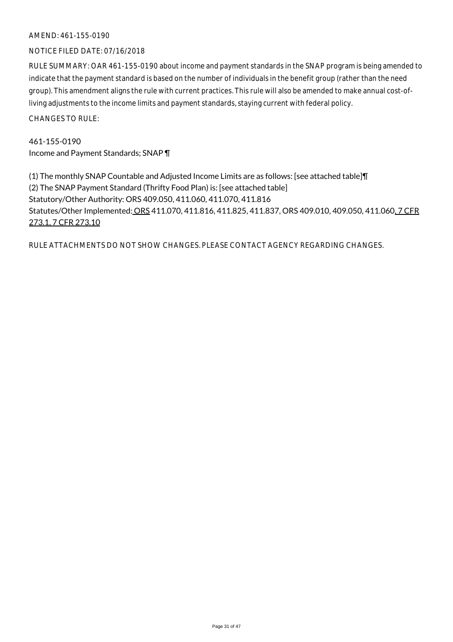### AMEND: 461-155-0190

### NOTICE FILED DATE: 07/16/2018

RULE SUMMARY: OAR 461-155-0190 about income and payment standards in the SNAP program is being amended to indicate that the payment standard is based on the number of individuals in the benefit group (rather than the need group). This amendment aligns the rule with current practices. This rule will also be amended to make annual cost-ofliving adjustments to the income limits and payment standards, staying current with federal policy.

CHANGES TO RULE:

461-155-0190 Income and Payment Standards; SNAP ¶

(1) The monthly SNAP Countable and Adjusted Income Limits are as follows: [see attached table]¶ (2) The SNAP Payment Standard (Thrifty Food Plan) is: [see attached table] Statutory/Other Authority: ORS 409.050, 411.060, 411.070, 411.816 Statutes/Other Implemented: ORS 411.070, 411.816, 411.825, 411.837, ORS 409.010, 409.050, 411.060, 7 CFR 273.1, 7 CFR 273.10

RULE ATTACHMENTS DO NOT SHOW CHANGES. PLEASE CONTACT AGENCY REGARDING CHANGES.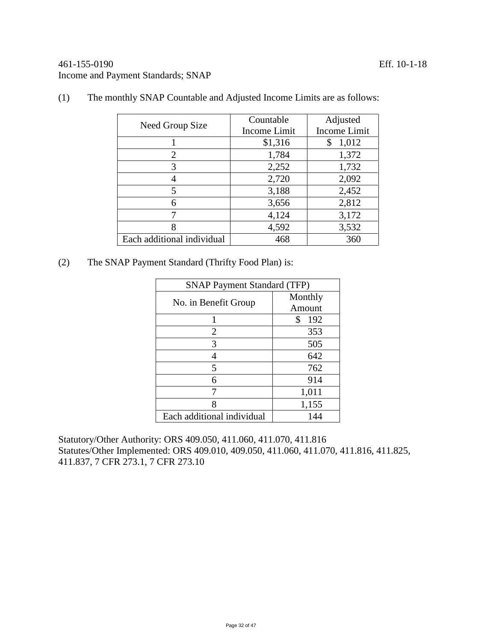## 461-155-0190 Eff. 10-1-18 Income and Payment Standards; SNAP

| Need Group Size            | Countable<br>Income Limit | Adjusted<br>Income Limit |
|----------------------------|---------------------------|--------------------------|
|                            | \$1,316                   | 1,012<br>\$              |
| $\overline{2}$             | 1,784                     | 1,372                    |
| 3                          | 2,252                     | 1,732                    |
|                            | 2,720                     | 2,092                    |
| 5                          | 3,188                     | 2,452                    |
| 6                          | 3,656                     | 2,812                    |
|                            | 4,124                     | 3,172                    |
| 8                          | 4,592                     | 3,532                    |
| Each additional individual | 468                       | 360                      |

(1) The monthly SNAP Countable and Adjusted Income Limits are as follows:

(2) The SNAP Payment Standard (Thrifty Food Plan) is:

| <b>SNAP Payment Standard (TFP)</b> |           |  |
|------------------------------------|-----------|--|
| No. in Benefit Group               | Monthly   |  |
|                                    | Amount    |  |
|                                    | \$<br>192 |  |
| 2                                  | 353       |  |
| 3                                  | 505       |  |
|                                    | 642       |  |
| 5                                  | 762       |  |
| 6                                  | 914       |  |
|                                    | 1,011     |  |
| 8                                  | 1,155     |  |
| Each additional individual         | 144       |  |

Statutory/Other Authority: ORS 409.050, 411.060, 411.070, 411.816 Statutes/Other Implemented: ORS 409.010, 409.050, 411.060, 411.070, 411.816, 411.825, 411.837, 7 CFR 273.1, 7 CFR 273.10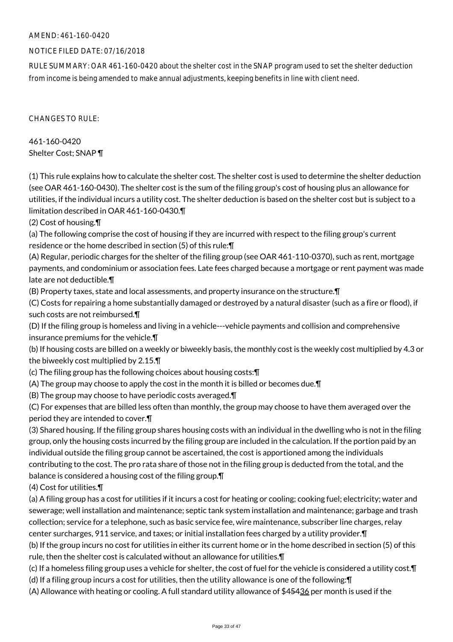## AMEND: 461-160-0420

## NOTICE FILED DATE: 07/16/2018

RULE SUMMARY: OAR 461-160-0420 about the shelter cost in the SNAP program used to set the shelter deduction from income is being amended to make annual adjustments, keeping benefits in line with client need.

CHANGES TO RULE:

461-160-0420 Shelter Cost; SNAP ¶

(1) This rule explains how to calculate the shelter cost. The shelter cost is used to determine the shelter deduction (see OAR 461-160-0430). The shelter cost is the sum of the filing group's cost of housing plus an allowance for utilities, if the individual incurs a utility cost. The shelter deduction is based on the shelter cost but is subject to a limitation described in OAR 461-160-0430.¶

(2) Cost of housing.¶

(a) The following comprise the cost of housing if they are incurred with respect to the filing group's current residence or the home described in section (5) of this rule:¶

(A) Regular, periodic charges for the shelter of the filing group (see OAR 461-110-0370), such as rent, mortgage payments, and condominium or association fees. Late fees charged because a mortgage or rent payment was made late are not deductible.¶

(B) Property taxes, state and local assessments, and property insurance on the structure.¶

(C) Costs for repairing a home substantially damaged or destroyed by a natural disaster (such as a fire or flood), if such costs are not reimbursed.¶

(D) If the filing group is homeless and living in a vehicle---vehicle payments and collision and comprehensive insurance premiums for the vehicle.¶

(b) If housing costs are billed on a weekly or biweekly basis, the monthly cost is the weekly cost multiplied by 4.3 or the biweekly cost multiplied by 2.15.¶

(c) The filing group has the following choices about housing costs:¶

(A) The group may choose to apply the cost in the month it is billed or becomes due.¶

(B) The group may choose to have periodic costs averaged.¶

(C) For expenses that are billed less often than monthly, the group may choose to have them averaged over the period they are intended to cover.¶

(3) Shared housing. If the filing group shares housing costs with an individual in the dwelling who is not in the filing group, only the housing costs incurred by the filing group are included in the calculation. If the portion paid by an individual outside the filing group cannot be ascertained, the cost is apportioned among the individuals contributing to the cost. The pro rata share of those not in the filing group is deducted from the total, and the balance is considered a housing cost of the filing group.¶

(4) Cost for utilities.¶

(a) A filing group has a cost for utilities if it incurs a cost for heating or cooling; cooking fuel; electricity; water and sewerage; well installation and maintenance; septic tank system installation and maintenance; garbage and trash collection; service for a telephone, such as basic service fee, wire maintenance, subscriber line charges, relay center surcharges, 911 service, and taxes; or initial installation fees charged by a utility provider.¶

(b) If the group incurs no cost for utilities in either its current home or in the home described in section (5) of this rule, then the shelter cost is calculated without an allowance for utilities.¶

(c) If a homeless filing group uses a vehicle for shelter, the cost of fuel for the vehicle is considered a utility cost.¶

(d) If a filing group incurs a cost for utilities, then the utility allowance is one of the following:¶

(A) Allowance with heating or cooling. A full standard utility allowance of \$45436 per month is used if the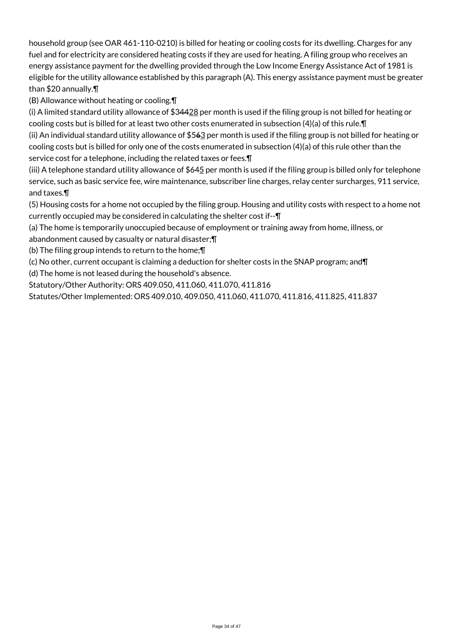household group (see OAR 461-110-0210) is billed for heating or cooling costs for its dwelling. Charges for any fuel and for electricity are considered heating costs if they are used for heating. A filing group who receives an energy assistance payment for the dwelling provided through the Low Income Energy Assistance Act of 1981 is eligible for the utility allowance established by this paragraph (A). This energy assistance payment must be greater than \$20 annually.¶

(B) Allowance without heating or cooling.¶

(i) A limited standard utility allowance of \$34428 per month is used if the filing group is not billed for heating or cooling costs but is billed for at least two other costs enumerated in subsection (4)(a) of this rule.¶

(ii) An individual standard utility allowance of  $$562$  per month is used if the filing group is not billed for heating or cooling costs but is billed for only one of the costs enumerated in subsection (4)(a) of this rule other than the service cost for a telephone, including the related taxes or fees.¶

(iii) A telephone standard utility allowance of  $$645$  per month is used if the filing group is billed only for telephone service, such as basic service fee, wire maintenance, subscriber line charges, relay center surcharges, 911 service, and taxes.¶

(5) Housing costs for a home not occupied by the filing group. Housing and utility costs with respect to a home not currently occupied may be considered in calculating the shelter cost if--¶

(a) The home is temporarily unoccupied because of employment or training away from home, illness, or

abandonment caused by casualty or natural disaster;¶

(b) The filing group intends to return to the home;¶

(c) No other, current occupant is claiming a deduction for shelter costs in the SNAP program; and¶

(d) The home is not leased during the household's absence.

Statutory/Other Authority: ORS 409.050, 411.060, 411.070, 411.816

Statutes/Other Implemented: ORS 409.010, 409.050, 411.060, 411.070, 411.816, 411.825, 411.837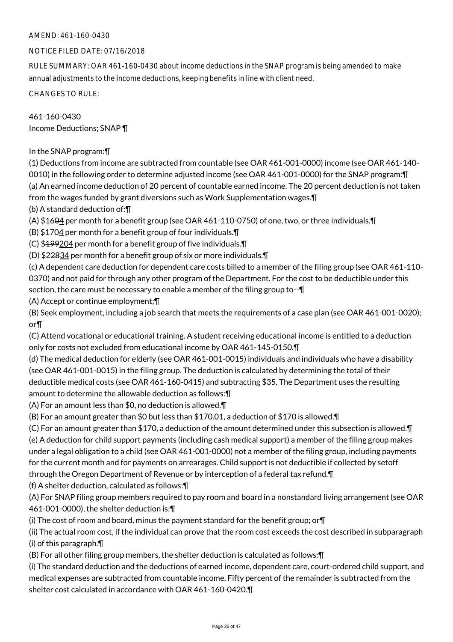## AMEND: 461-160-0430

## NOTICE FILED DATE: 07/16/2018

RULE SUMMARY: OAR 461-160-0430 about income deductions in the SNAP program is being amended to make annual adjustments to the income deductions, keeping benefits in line with client need.

CHANGES TO RULE:

461-160-0430 Income Deductions; SNAP ¶

In the SNAP program:¶

(1) Deductions from income are subtracted from countable (see OAR 461-001-0000) income (see OAR 461-140- 0010) in the following order to determine adjusted income (see OAR 461-001-0000) for the SNAP program:¶ (a) An earned income deduction of 20 percent of countable earned income. The 20 percent deduction is not taken from the wages funded by grant diversions such as Work Supplementation wages.¶

(b) A standard deduction of:¶

(A)  $$1694$  per month for a benefit group (see OAR 461-110-0750) of one, two, or three individuals. $\P$ 

(B) \$1704 per month for a benefit group of four individuals.¶

(C) \$199204 per month for a benefit group of five individuals.¶

(D) \$22834 per month for a benefit group of six or more individuals.¶

(c) A dependent care deduction for dependent care costs billed to a member of the filing group (see OAR 461-110- 0370) and not paid for through any other program of the Department. For the cost to be deductible under this section, the care must be necessary to enable a member of the filing group to-- $\P$ 

(A) Accept or continue employment;¶

(B) Seek employment, including a job search that meets the requirements of a case plan (see OAR 461-001-0020); or¶

(C) Attend vocational or educational training. A student receiving educational income is entitled to a deduction only for costs not excluded from educational income by OAR 461-145-0150.¶

(d) The medical deduction for elderly (see OAR 461-001-0015) individuals and individuals who have a disability (see OAR 461-001-0015) in the filing group. The deduction is calculated by determining the total of their deductible medical costs (see OAR 461-160-0415) and subtracting \$35. The Department uses the resulting amount to determine the allowable deduction as follows:¶

(A) For an amount less than \$0, no deduction is allowed.¶

(B) For an amount greater than \$0 but less than \$170.01, a deduction of \$170 is allowed.¶

(C) For an amount greater than \$170, a deduction of the amount determined under this subsection is allowed.¶ (e) A deduction for child support payments (including cash medical support) a member of the filing group makes under a legal obligation to a child (see OAR 461-001-0000) not a member of the filing group, including payments for the current month and for payments on arrearages. Child support is not deductible if collected by setoff through the Oregon Department of Revenue or by interception of a federal tax refund.¶

(f) A shelter deduction, calculated as follows:¶

(A) For SNAP filing group members required to pay room and board in a nonstandard living arrangement (see OAR 461-001-0000), the shelter deduction is:¶

(i) The cost of room and board, minus the payment standard for the benefit group; or¶

(ii) The actual room cost, if the individual can prove that the room cost exceeds the cost described in subparagraph (i) of this paragraph.¶

(B) For all other filing group members, the shelter deduction is calculated as follows:¶

(i) The standard deduction and the deductions of earned income, dependent care, court-ordered child support, and medical expenses are subtracted from countable income. Fifty percent of the remainder is subtracted from the shelter cost calculated in accordance with OAR 461-160-0420.¶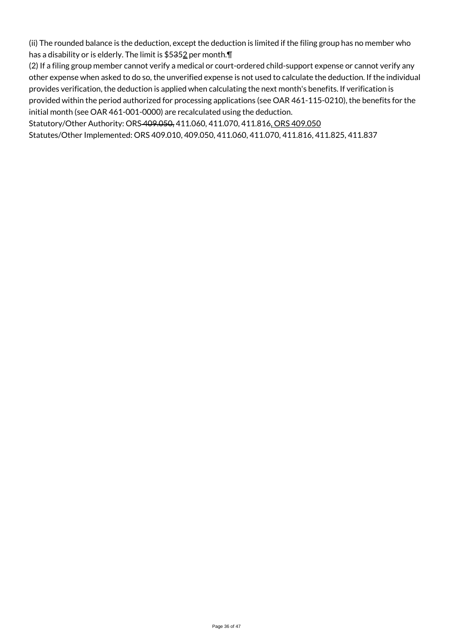(ii) The rounded balance is the deduction, except the deduction is limited if the filing group has no member who has a disability or is elderly. The limit is \$5352 per month.¶

(2) If a filing group member cannot verify a medical or court-ordered child-support expense or cannot verify any other expense when asked to do so, the unverified expense is not used to calculate the deduction. If the individual provides verification, the deduction is applied when calculating the next month's benefits. If verification is provided within the period authorized for processing applications (see OAR 461-115-0210), the benefits for the initial month (see OAR 461-001-0000) are recalculated using the deduction.

Statutory/Other Authority: ORS 409.050, 411.060, 411.070, 411.816, ORS 409.050

Statutes/Other Implemented: ORS 409.010, 409.050, 411.060, 411.070, 411.816, 411.825, 411.837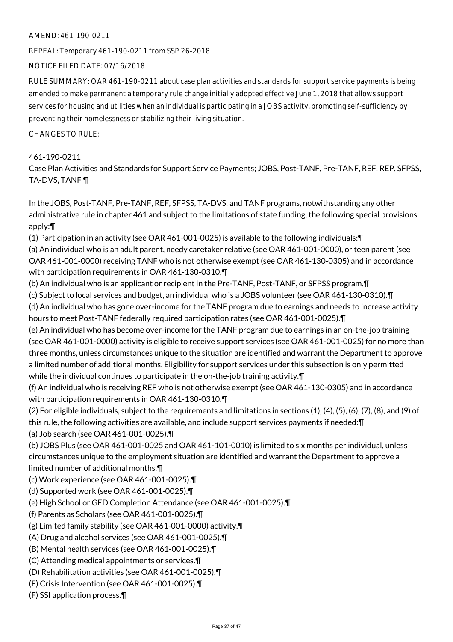#### AMEND: 461-190-0211

REPEAL: Temporary 461-190-0211 from SSP 26-2018

NOTICE FILED DATE: 07/16/2018

RULE SUMMARY: OAR 461-190-0211 about case plan activities and standards for support service payments is being amended to make permanent a temporary rule change initially adopted effective June 1, 2018 that allows support services for housing and utilities when an individual is participating in a JOBS activity, promoting self-sufficiency by preventing their homelessness or stabilizing their living situation.

CHANGES TO RULE:

## 461-190-0211

Case Plan Activities and Standards for Support Service Payments; JOBS, Post-TANF, Pre-TANF, REF, REP, SFPSS, TA-DVS, TANF ¶

In the JOBS, Post-TANF, Pre-TANF, REF, SFPSS, TA-DVS, and TANF programs, notwithstanding any other administrative rule in chapter 461 and subject to the limitations of state funding, the following special provisions apply:¶

(1) Participation in an activity (see OAR 461-001-0025) is available to the following individuals:¶

(a) An individual who is an adult parent, needy caretaker relative (see OAR 461-001-0000), or teen parent (see OAR 461-001-0000) receiving TANF who is not otherwise exempt (see OAR 461-130-0305) and in accordance with participation requirements in OAR 461-130-0310.¶

(b) An individual who is an applicant or recipient in the Pre-TANF, Post-TANF, or SFPSS program.¶

(c) Subject to local services and budget, an individual who is a JOBS volunteer (see OAR 461-130-0310).¶

(d) An individual who has gone over-income for the TANF program due to earnings and needs to increase activity hours to meet Post-TANF federally required participation rates (see OAR 461-001-0025).¶

(e) An individual who has become over-income for the TANF program due to earnings in an on-the-job training (see OAR 461-001-0000) activity is eligible to receive support services (see OAR 461-001-0025) for no more than three months, unless circumstances unique to the situation are identified and warrant the Department to approve a limited number of additional months. Eligibility for support services under this subsection is only permitted while the individual continues to participate in the on-the-job training activity.¶

(f) An individual who is receiving REF who is not otherwise exempt (see OAR 461-130-0305) and in accordance with participation requirements in OAR 461-130-0310.¶

(2) For eligible individuals, subject to the requirements and limitations in sections (1), (4), (5), (6), (7), (8), and (9) of this rule, the following activities are available, and include support services payments if needed:¶

(a) Job search (see OAR 461-001-0025).¶

(b) JOBS Plus (see OAR 461-001-0025 and OAR 461-101-0010) is limited to six months per individual, unless circumstances unique to the employment situation are identified and warrant the Department to approve a limited number of additional months.¶

(c) Work experience (see OAR 461-001-0025).¶

(d) Supported work (see OAR 461-001-0025).¶

(e) High School or GED Completion Attendance (see OAR 461-001-0025).¶

(f) Parents as Scholars (see OAR 461-001-0025).¶

(g) Limited family stability (see OAR 461-001-0000) activity.¶

(A) Drug and alcohol services (see OAR 461-001-0025).¶

(B) Mental health services (see OAR 461-001-0025).¶

(C) Attending medical appointments or services.¶

(D) Rehabilitation activities (see OAR 461-001-0025).¶

(E) Crisis Intervention (see OAR 461-001-0025).¶

(F) SSI application process.¶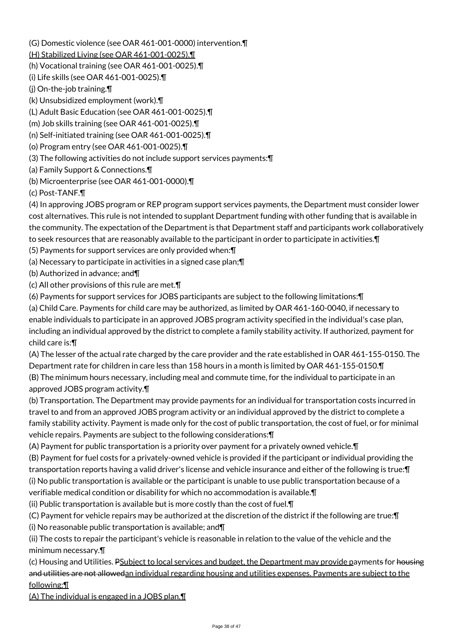(G) Domestic violence (see OAR 461-001-0000) intervention.¶

(H) Stabilized Living (see OAR 461-001-0025).¶

- (h) Vocational training (see OAR 461-001-0025).¶
- (i) Life skills (see OAR 461-001-0025).¶
- (j) On-the-job training.¶
- (k) Unsubsidized employment (work).¶
- (L) Adult Basic Education (see OAR 461-001-0025).¶
- (m) Job skills training (see OAR 461-001-0025).¶
- (n) Self-initiated training (see OAR 461-001-0025).¶
- (o) Program entry (see OAR 461-001-0025).¶
- (3) The following activities do not include support services payments:¶
- (a) Family Support & Connections.¶
- (b) Microenterprise (see OAR 461-001-0000).¶
- (c) Post-TANF.¶
- (4) In approving JOBS program or REP program support services payments, the Department must consider lower cost alternatives. This rule is not intended to supplant Department funding with other funding that is available in the community. The expectation of the Department is that Department staff and participants work collaboratively to seek resources that are reasonably available to the participant in order to participate in activities.¶
- (5) Payments for support services are only provided when:¶
- (a) Necessary to participate in activities in a signed case plan;¶
- (b) Authorized in advance; and¶
- (c) All other provisions of this rule are met.¶
- (6) Payments for support services for JOBS participants are subject to the following limitations:¶
- (a) Child Care. Payments for child care may be authorized, as limited by OAR 461-160-0040, if necessary to enable individuals to participate in an approved JOBS program activity specified in the individual's case plan, including an individual approved by the district to complete a family stability activity. If authorized, payment for child care is:¶
- (A) The lesser of the actual rate charged by the care provider and the rate established in OAR 461-155-0150. The Department rate for children in care less than 158 hours in a month is limited by OAR 461-155-0150.¶ (B) The minimum hours necessary, including meal and commute time, for the individual to participate in an approved JOBS program activity.¶
- (b) Transportation. The Department may provide payments for an individual for transportation costs incurred in travel to and from an approved JOBS program activity or an individual approved by the district to complete a family stability activity. Payment is made only for the cost of public transportation, the cost of fuel, or for minimal vehicle repairs. Payments are subject to the following considerations:¶
- (A) Payment for public transportation is a priority over payment for a privately owned vehicle.¶
- (B) Payment for fuel costs for a privately-owned vehicle is provided if the participant or individual providing the transportation reports having a valid driver's license and vehicle insurance and either of the following is true:¶ (i) No public transportation is available or the participant is unable to use public transportation because of a
- verifiable medical condition or disability for which no accommodation is available.¶
- (ii) Public transportation is available but is more costly than the cost of fuel.¶
- (C) Payment for vehicle repairs may be authorized at the discretion of the district if the following are true:¶ (i) No reasonable public transportation is available; and¶
- (ii) The costs to repair the participant's vehicle is reasonable in relation to the value of the vehicle and the minimum necessary.¶
- (c) Housing and Utilities. PSubject to local services and budget, the Department may provide payments for housing and utilities are not allowedan individual regarding housing and utilities expenses. Payments are subject to the following:¶
- (A) The individual is engaged in a JOBS plan.¶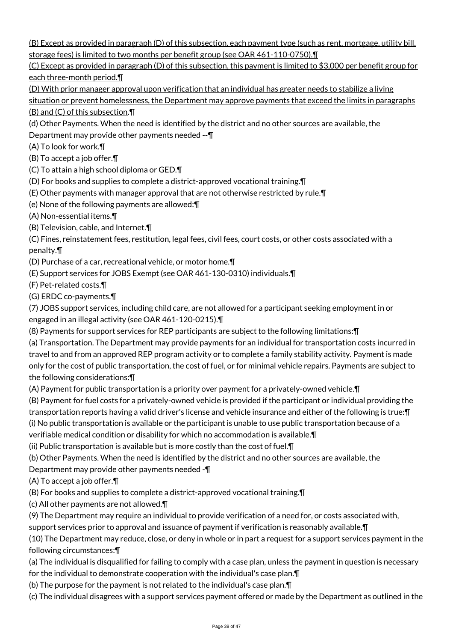(B) Except as provided in paragraph (D) of this subsection, each payment type (such as rent, mortgage, utility bill, storage fees) is limited to two months per benefit group (see OAR 461-110-0750).¶

(C) Except as provided in paragraph (D) of this subsection, this payment is limited to \$3,000 per benefit group for each three-month period.¶

(D) With prior manager approval upon verification that an individual has greater needs to stabilize a living situation or prevent homelessness, the Department may approve payments that exceed the limits in paragraphs

(B) and (C) of this subsection.¶

(d) Other Payments. When the need is identified by the district and no other sources are available, the

Department may provide other payments needed --¶

(A) To look for work.¶

(B) To accept a job offer.¶

(C) To attain a high school diploma or GED.¶

(D) For books and supplies to complete a district-approved vocational training.¶

(E) Other payments with manager approval that are not otherwise restricted by rule.¶

(e) None of the following payments are allowed:¶

(A) Non-essential items.¶

(B) Television, cable, and Internet.¶

(C) Fines, reinstatement fees, restitution, legal fees, civil fees, court costs, or other costs associated with a penalty.¶

(D) Purchase of a car, recreational vehicle, or motor home.¶

(E) Support services for JOBS Exempt (see OAR 461-130-0310) individuals.¶

(F) Pet-related costs.¶

(G) ERDC co-payments.¶

(7) JOBS support services, including child care, are not allowed for a participant seeking employment in or engaged in an illegal activity (see OAR 461-120-0215).¶

(8) Payments for support services for REP participants are subject to the following limitations:¶

(a) Transportation. The Department may provide payments for an individual for transportation costs incurred in travel to and from an approved REP program activity or to complete a family stability activity. Payment is made only for the cost of public transportation, the cost of fuel, or for minimal vehicle repairs. Payments are subject to the following considerations:¶

(A) Payment for public transportation is a priority over payment for a privately-owned vehicle.¶

(B) Payment for fuel costs for a privately-owned vehicle is provided if the participant or individual providing the transportation reports having a valid driver's license and vehicle insurance and either of the following is true:¶ (i) No public transportation is available or the participant is unable to use public transportation because of a

verifiable medical condition or disability for which no accommodation is available.¶

(ii) Public transportation is available but is more costly than the cost of fuel.¶

(b) Other Payments. When the need is identified by the district and no other sources are available, the

Department may provide other payments needed -¶

(A) To accept a job offer.¶

(B) For books and supplies to complete a district-approved vocational training.¶

(c) All other payments are not allowed.¶

(9) The Department may require an individual to provide verification of a need for, or costs associated with,

support services prior to approval and issuance of payment if verification is reasonably available.¶

(10) The Department may reduce, close, or deny in whole or in part a request for a support services payment in the following circumstances:¶

(a) The individual is disqualified for failing to comply with a case plan, unless the payment in question is necessary

for the individual to demonstrate cooperation with the individual's case plan.¶

(b) The purpose for the payment is not related to the individual's case plan.¶

(c) The individual disagrees with a support services payment offered or made by the Department as outlined in the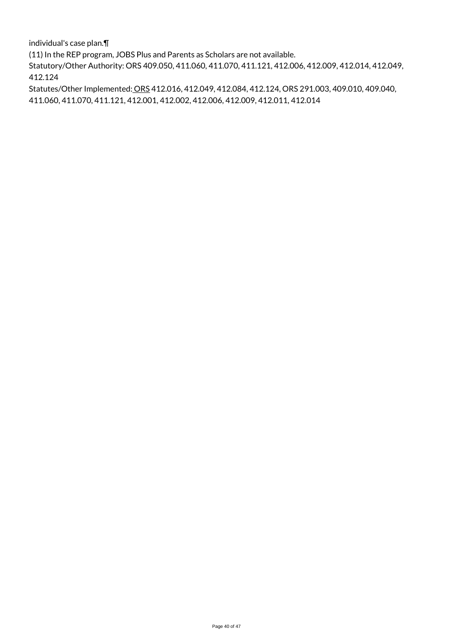individual's case plan.¶

(11) In the REP program, JOBS Plus and Parents as Scholars are not available.

Statutory/Other Authority: ORS 409.050, 411.060, 411.070, 411.121, 412.006, 412.009, 412.014, 412.049, 412.124

Statutes/Other Implemented: ORS 412.016, 412.049, 412.084, 412.124, ORS 291.003, 409.010, 409.040, 411.060, 411.070, 411.121, 412.001, 412.002, 412.006, 412.009, 412.011, 412.014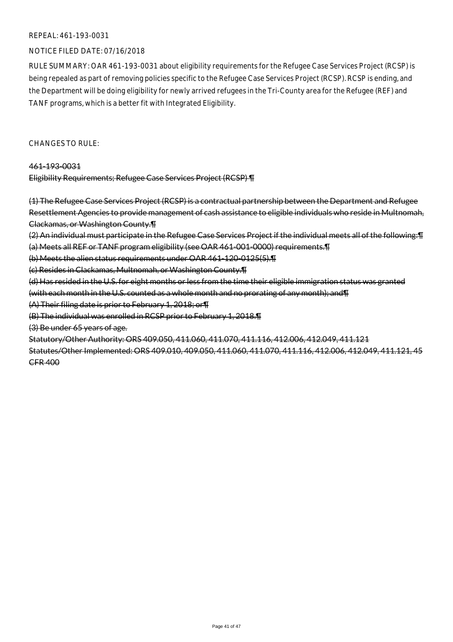### NOTICE FILED DATE: 07/16/2018

RULE SUMMARY: OAR 461-193-0031 about eligibility requirements for the Refugee Case Services Project (RCSP) is being repealed as part of removing policies specific to the Refugee Case Services Project (RCSP). RCSP is ending, and the Department will be doing eligibility for newly arrived refugees in the Tri-County area for the Refugee (REF) and TANF programs, which is a better fit with Integrated Eligibility.

CHANGES TO RULE:

#### 461-193-0031

Eligibility Requirements; Refugee Case Services Project (RCSP) ¶

(1) The Refugee Case Services Project (RCSP) is a contractual partnership between the Department and Refugee Resettlement Agencies to provide management of cash assistance to eligible individuals who reside in Multnomah, Clackamas, or Washington County.¶

(2) An individual must participate in the Refugee Case Services Project if the individual meets all of the following:¶

(a) Meets all REF or TANF program eligibility (see OAR 461-001-0000) requirements.¶

(b) Meets the alien status requirements under OAR 461-120-0125(5).¶

(c) Resides in Clackamas, Multnomah, or Washington County.¶

(d) Has resided in the U.S. for eight months or less from the time their eligible immigration status was granted

(with each month in the U.S. counted as a whole month and no prorating of any month); and¶

(A) Their filing date is prior to February 1, 2018; or¶

(B) The individual was enrolled in RCSP prior to February 1, 2018.¶

(3) Be under 65 years of age.

Statutory/Other Authority: ORS 409.050, 411.060, 411.070, 411.116, 412.006, 412.049, 411.121

Statutes/Other Implemented: ORS 409.010, 409.050, 411.060, 411.070, 411.116, 412.006, 412.049, 411.121, 45 CFR 400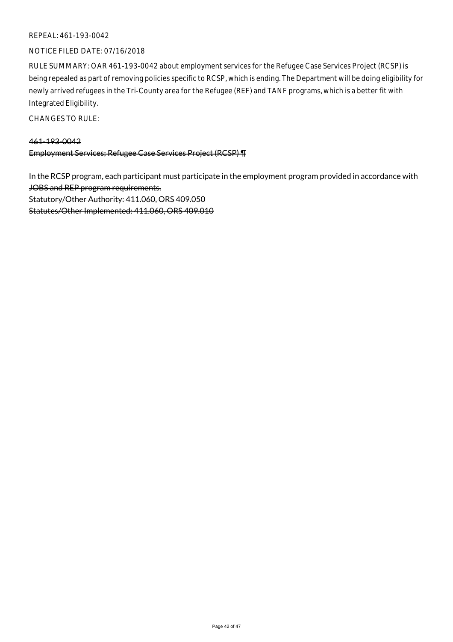#### NOTICE FILED DATE: 07/16/2018

RULE SUMMARY: OAR 461-193-0042 about employment services for the Refugee Case Services Project (RCSP) is being repealed as part of removing policies specific to RCSP, which is ending. The Department will be doing eligibility for newly arrived refugees in the Tri-County area for the Refugee (REF) and TANF programs, which is a better fit with Integrated Eligibility.

CHANGES TO RULE:

## 461-193-0042

Employment Services; Refugee Case Services Project (RCSP) ¶

In the RCSP program, each participant must participate in the employment program provided in accordance with JOBS and REP program requirements. Statutory/Other Authority: 411.060, ORS 409.050 Statutes/Other Implemented: 411.060, ORS 409.010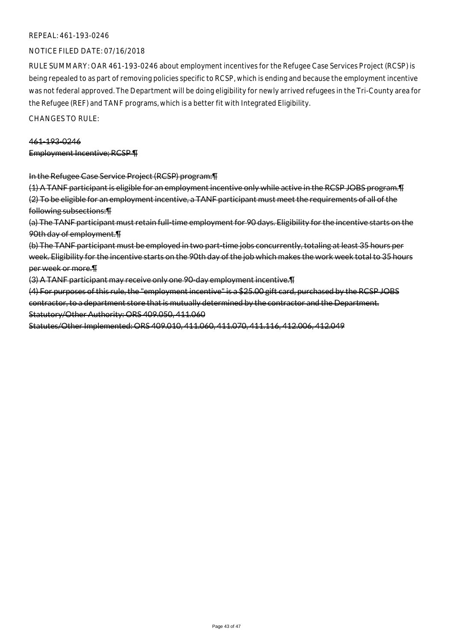### NOTICE FILED DATE: 07/16/2018

RULE SUMMARY: OAR 461-193-0246 about employment incentives for the Refugee Case Services Project (RCSP) is being repealed to as part of removing policies specific to RCSP, which is ending and because the employment incentive was not federal approved. The Department will be doing eligibility for newly arrived refugees in the Tri-County area for the Refugee (REF) and TANF programs, which is a better fit with Integrated Eligibility.

CHANGES TO RULE:

#### 461-193-0246

Employment Incentive; RCSP ¶

#### In the Refugee Case Service Project (RCSP) program:¶

(1) A TANF participant is eligible for an employment incentive only while active in the RCSP JOBS program.¶ (2) To be eligible for an employment incentive, a TANF participant must meet the requirements of all of the following subsections:¶

(a) The TANF participant must retain full-time employment for 90 days. Eligibility for the incentive starts on the 90th day of employment.¶

(b) The TANF participant must be employed in two part-time jobs concurrently, totaling at least 35 hours per week. Eligibility for the incentive starts on the 90th day of the job which makes the work week total to 35 hours per week or more.¶

(3) A TANF participant may receive only one 90-day employment incentive.¶

(4) For purposes of this rule, the "employment incentive" is a \$25.00 gift card, purchased by the RCSP JOBS contractor, to a department store that is mutually determined by the contractor and the Department. Statutory/Other Authority: ORS 409.050, 411.060

Statutes/Other Implemented: ORS 409.010, 411.060, 411.070, 411.116, 412.006, 412.049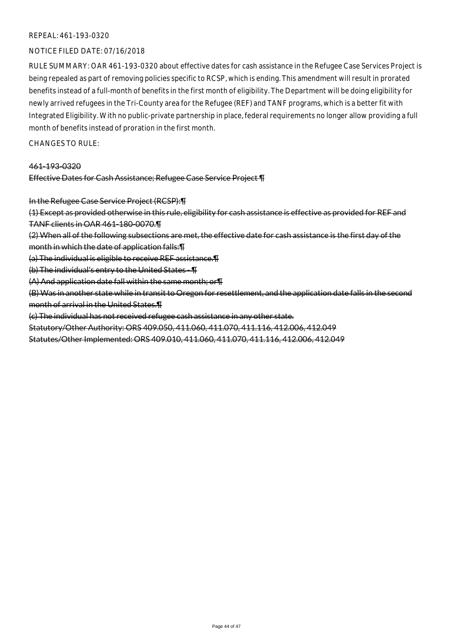### NOTICE FILED DATE: 07/16/2018

RULE SUMMARY: OAR 461-193-0320 about effective dates for cash assistance in the Refugee Case Services Project is being repealed as part of removing policies specific to RCSP, which is ending. This amendment will result in prorated benefits instead of a full-month of benefits in the first month of eligibility. The Department will be doing eligibility for newly arrived refugees in the Tri-County area for the Refugee (REF) and TANF programs, which is a better fit with Integrated Eligibility. With no public-private partnership in place, federal requirements no longer allow providing a full month of benefits instead of proration in the first month.

CHANGES TO RULE:

#### 461-193-0320

#### Effective Dates for Cash Assistance; Refugee Case Service Project ¶

In the Refugee Case Service Project (RCSP):¶

(1) Except as provided otherwise in this rule, eligibility for cash assistance is effective as provided for REF and TANF clients in OAR 461-180-0070.¶

(2) When all of the following subsections are met, the effective date for cash assistance is the first day of the month in which the date of application falls:¶

(a) The individual is eligible to receive REF assistance.¶

(b) The individual's entry to the United States - ¶

(A) And application date fall within the same month; or¶

(B) Was in another state while in transit to Oregon for resettlement, and the application date falls in the second month of arrival in the United States.¶

(c) The individual has not received refugee cash assistance in any other state.

Statutory/Other Authority: ORS 409.050, 411.060, 411.070, 411.116, 412.006, 412.049

Statutes/Other Implemented: ORS 409.010, 411.060, 411.070, 411.116, 412.006, 412.049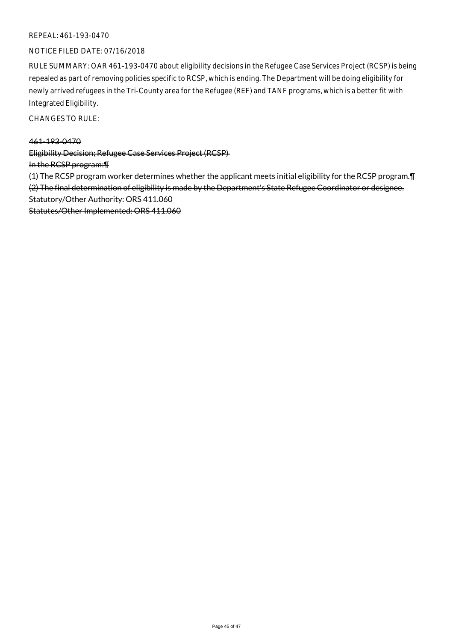### NOTICE FILED DATE: 07/16/2018

RULE SUMMARY: OAR 461-193-0470 about eligibility decisions in the Refugee Case Services Project (RCSP) is being repealed as part of removing policies specific to RCSP, which is ending. The Department will be doing eligibility for newly arrived refugees in the Tri-County area for the Refugee (REF) and TANF programs, which is a better fit with Integrated Eligibility.

CHANGES TO RULE:

#### 461-193-0470

Eligibility Decision; Refugee Case Services Project (RCSP)

In the RCSP program:¶

(1) The RCSP program worker determines whether the applicant meets initial eligibility for the RCSP program.¶ (2) The final determination of eligibility is made by the Department's State Refugee Coordinator or designee. Statutory/Other Authority: ORS 411.060

Statutes/Other Implemented: ORS 411.060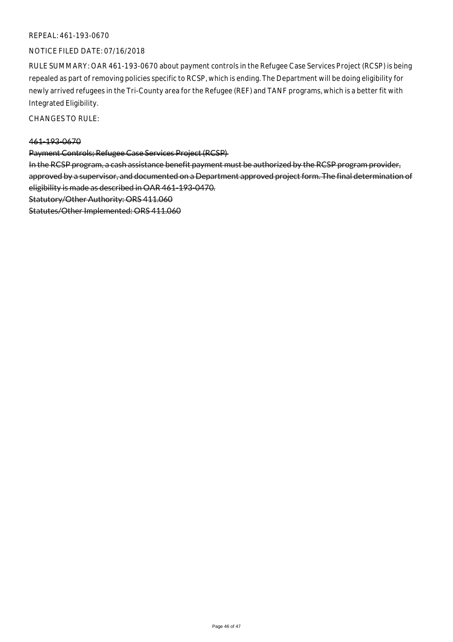### NOTICE FILED DATE: 07/16/2018

RULE SUMMARY: OAR 461-193-0670 about payment controls in the Refugee Case Services Project (RCSP) is being repealed as part of removing policies specific to RCSP, which is ending. The Department will be doing eligibility for newly arrived refugees in the Tri-County area for the Refugee (REF) and TANF programs, which is a better fit with Integrated Eligibility.

CHANGES TO RULE:

#### 461-193-0670

Payment Controls; Refugee Case Services Project (RCSP)

In the RCSP program, a cash assistance benefit payment must be authorized by the RCSP program provider, approved by a supervisor, and documented on a Department approved project form. The final determination of eligibility is made as described in OAR 461-193-0470.

Statutory/Other Authority: ORS 411.060

Statutes/Other Implemented: ORS 411.060